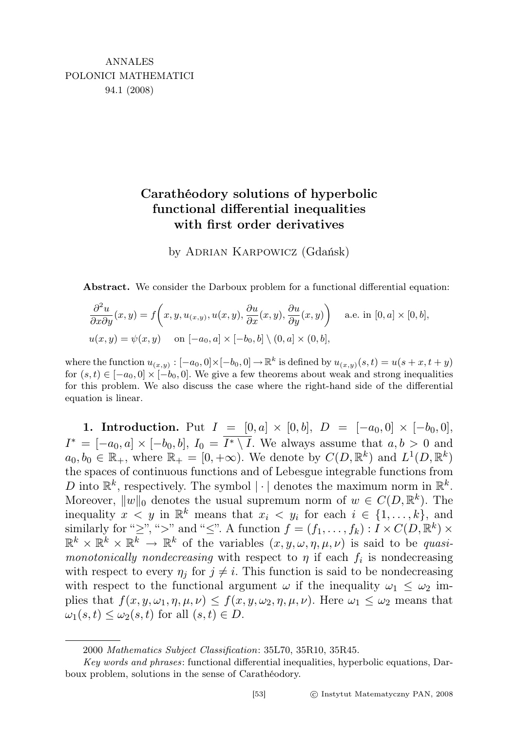# Carathéodory solutions of hyperbolic functional differential inequalities with first order derivatives

by Adrian Karpowicz (Gdańsk)

Abstract. We consider the Darboux problem for a functional differential equation:

$$
\frac{\partial^2 u}{\partial x \partial y}(x, y) = f\left(x, y, u_{(x, y)}, u(x, y), \frac{\partial u}{\partial x}(x, y), \frac{\partial u}{\partial y}(x, y)\right)
$$
 a.e. in [0, a] × [0, b],  

$$
u(x, y) = \psi(x, y)
$$
 on [-a<sub>0</sub>, a] × [-b<sub>0</sub>, b] \ (0, a] × (0, b],

where the function  $u_{(x,y)}: [-a_0, 0] \times [-b_0, 0] \to \mathbb{R}^k$  is defined by  $u_{(x,y)}(s,t) = u(s+x, t+y)$ for  $(s, t) \in [-a_0, 0] \times [-b_0, 0]$ . We give a few theorems about weak and strong inequalities for this problem. We also discuss the case where the right-hand side of the differential equation is linear.

1. Introduction. Put  $I = [0, a] \times [0, b], D = [-a_0, 0] \times [-b_0, 0],$  $I^* = [-a_0, a] \times [-b_0, b], I_0 = \overline{I^* \setminus I}.$  We always assume that  $a, b > 0$  and  $a_0, b_0 \in \mathbb{R}_+$ , where  $\mathbb{R}_+ = [0, +\infty)$ . We denote by  $C(D, \mathbb{R}^k)$  and  $L^1(D, \mathbb{R}^k)$ the spaces of continuous functions and of Lebesgue integrable functions from D into  $\mathbb{R}^k$ , respectively. The symbol  $|\cdot|$  denotes the maximum norm in  $\mathbb{R}^k$ . Moreover,  $||w||_0$  denotes the usual supremum norm of  $w \in C(D, \mathbb{R}^k)$ . The inequality  $x < y$  in  $\mathbb{R}^k$  means that  $x_i < y_i$  for each  $i \in \{1, ..., k\}$ , and similarly for "≥", ">" and "≤". A function  $f = (f_1, \ldots, f_k) : I \times C(D, \mathbb{R}^k) \times$  $\mathbb{R}^k \times \mathbb{R}^k \times \mathbb{R}^k \to \mathbb{R}^k$  of the variables  $(x, y, \omega, \eta, \mu, \nu)$  is said to be quasimonotonically nondecreasing with respect to  $\eta$  if each  $f_i$  is nondecreasing with respect to every  $\eta_i$  for  $j \neq i$ . This function is said to be nondecreasing with respect to the functional argument  $\omega$  if the inequality  $\omega_1 \leq \omega_2$  implies that  $f(x, y, \omega_1, \eta, \mu, \nu) \leq f(x, y, \omega_2, \eta, \mu, \nu)$ . Here  $\omega_1 \leq \omega_2$  means that  $\omega_1(s,t) \leq \omega_2(s,t)$  for all  $(s,t) \in D$ .

<sup>2000</sup> Mathematics Subject Classification: 35L70, 35R10, 35R45.

Key words and phrases: functional differential inequalities, hyperbolic equations, Darboux problem, solutions in the sense of Carathéodory.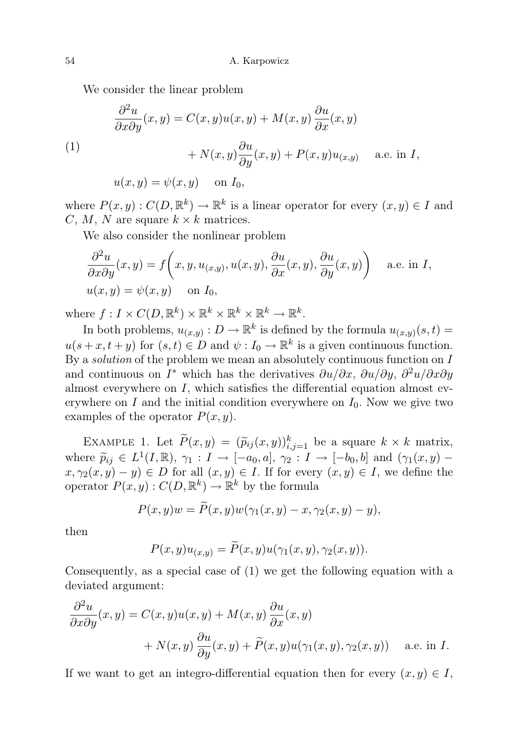We consider the linear problem

(1)  
\n
$$
\frac{\partial^2 u}{\partial x \partial y}(x, y) = C(x, y)u(x, y) + M(x, y)\frac{\partial u}{\partial x}(x, y)
$$
\n
$$
+ N(x, y)\frac{\partial u}{\partial y}(x, y) + P(x, y)u_{(x, y)} \quad \text{a.e. in } I,
$$
\n
$$
u(x, y) = \psi(x, y) \quad \text{on } I_0,
$$

where  $P(x, y) : C(D, \mathbb{R}^k) \to \mathbb{R}^k$  is a linear operator for every  $(x, y) \in I$  and C, M, N are square  $k \times k$  matrices.

We also consider the nonlinear problem

$$
\frac{\partial^2 u}{\partial x \partial y}(x, y) = f\left(x, y, u_{(x, y)}, u(x, y), \frac{\partial u}{\partial x}(x, y), \frac{\partial u}{\partial y}(x, y)\right)
$$
 a.e. in *I*,  

$$
u(x, y) = \psi(x, y) \text{ on } I_0,
$$

where  $f: I \times C(D, \mathbb{R}^k) \times \mathbb{R}^k \times \mathbb{R}^k \times \mathbb{R}^k \to \mathbb{R}^k$ .

In both problems,  $u_{(x,y)}: D \to \mathbb{R}^k$  is defined by the formula  $u_{(x,y)}(s,t) =$  $u(s+x, t+y)$  for  $(s,t) \in D$  and  $\psi: I_0 \to \mathbb{R}^k$  is a given continuous function. By a *solution* of the problem we mean an absolutely continuous function on  $I$ and continuous on  $I^*$  which has the derivatives  $\partial u/\partial x$ ,  $\partial u/\partial y$ ,  $\partial^2 u/\partial x \partial y$ almost everywhere on  $I$ , which satisfies the differential equation almost everywhere on I and the initial condition everywhere on  $I_0$ . Now we give two examples of the operator  $P(x, y)$ .

EXAMPLE 1. Let  $\widetilde{P}(x,y) = (\widetilde{p}_{ij}(x,y))_{i,j=1}^k$  be a square  $k \times k$  matrix, where  $\widetilde{p}_{ij} \in L^1(I,\mathbb{R}), \gamma_1: I \to [-a_0, a], \gamma_2: I \to [-b_0, b]$  and  $(\gamma_1(x,y) - x, \gamma_2(x,y)) \in D$  for all  $(x,y) \in I$  if for every  $(x,y) \in I$  we define the  $(x, \gamma_2(x, y) - y) \in D$  for all  $(x, y) \in I$ . If for every  $(x, y) \in I$ , we define the operator  $P(x, y) : C(D, \mathbb{R}^k) \to \mathbb{R}^k$  by the formula

$$
P(x,y)w = P(x,y)w(\gamma_1(x,y) - x, \gamma_2(x,y) - y),
$$

then

$$
P(x,y)u_{(x,y)} = \widetilde{P}(x,y)u(\gamma_1(x,y),\gamma_2(x,y)).
$$

Consequently, as a special case of (1) we get the following equation with a deviated argument:

$$
\frac{\partial^2 u}{\partial x \partial y}(x, y) = C(x, y)u(x, y) + M(x, y)\frac{\partial u}{\partial x}(x, y)
$$

$$
+ N(x, y)\frac{\partial u}{\partial y}(x, y) + \widetilde{P}(x, y)u(\gamma_1(x, y), \gamma_2(x, y)) \quad \text{a.e. in } I.
$$

If we want to get an integro-differential equation then for every  $(x, y) \in I$ ,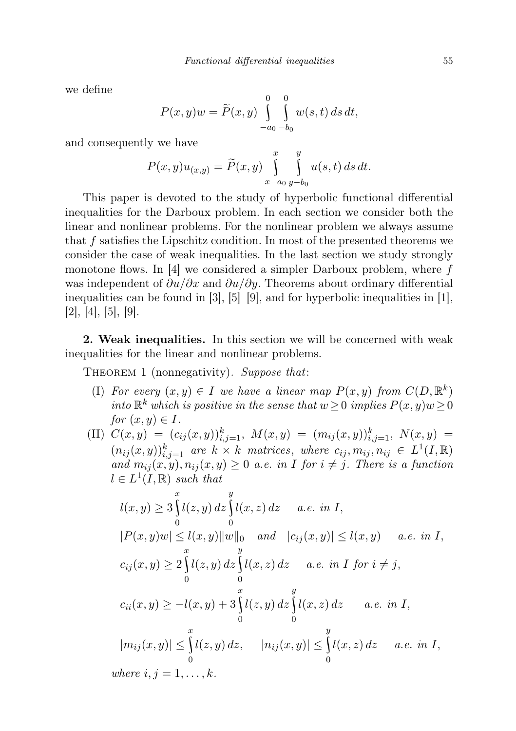we define

$$
P(x,y)w = \widetilde{P}(x,y) \int_{-a_0-b_0}^{0} \int_{0}^{0} w(s,t) \, ds \, dt,
$$

and consequently we have

$$
P(x,y)u_{(x,y)} = \widetilde{P}(x,y) \int_{x-a_0}^{x} \int_{y-b_0}^{y} u(s,t) \, ds \, dt.
$$

This paper is devoted to the study of hyperbolic functional differential inequalities for the Darboux problem. In each section we consider both the linear and nonlinear problems. For the nonlinear problem we always assume that f satisfies the Lipschitz condition. In most of the presented theorems we consider the case of weak inequalities. In the last section we study strongly monotone flows. In  $[4]$  we considered a simpler Darboux problem, where f was independent of  $\partial u/\partial x$  and  $\partial u/\partial y$ . Theorems about ordinary differential inequalities can be found in [3], [5]–[9], and for hyperbolic inequalities in [1],  $[2], [4], [5], [9].$ 

2. Weak inequalities. In this section we will be concerned with weak inequalities for the linear and nonlinear problems.

THEOREM 1 (nonnegativity). Suppose that:

- (I) For every  $(x, y) \in I$  we have a linear map  $P(x, y)$  from  $C(D, \mathbb{R}^k)$ into  $\mathbb{R}^k$  which is positive in the sense that  $w \geq 0$  implies  $P(x, y)w \geq 0$ for  $(x, y) \in I$ .
- (II)  $C(x,y) = (c_{ij}(x,y))_{i,j=1}^k$ ,  $M(x,y) = (m_{ij}(x,y))_{i,j=1}^k$ ,  $N(x,y) =$  $(n_{ij}(x, y))_{i,j=1}^k$  are  $k \times k$  matrices, where  $c_{ij}, m_{ij}, n_{ij} \in L^1(I, \mathbb{R})$ and  $m_{ij}(x, y), n_{ij}(x, y) \geq 0$  a.e. in I for  $i \neq j$ . There is a function  $l \in L^1(I,\mathbb{R})$  such that

$$
l(x,y) \ge 3 \int_{0}^{x} l(z,y) dz \int_{0}^{y} l(x,z) dz \quad a.e. \text{ in } I,
$$
  
\n
$$
|P(x,y)w| \le l(x,y) ||w||_{0} \quad and \quad |c_{ij}(x,y)| \le l(x,y) \quad a.e. \text{ in } I,
$$
  
\n
$$
c_{ij}(x,y) \ge 2 \int_{0}^{x} l(z,y) dz \int_{0}^{y} l(x,z) dz \quad a.e. \text{ in } I \text{ for } i \ne j,
$$
  
\n
$$
c_{ii}(x,y) \ge -l(x,y) + 3 \int_{0}^{x} l(z,y) dz \int_{0}^{y} l(x,z) dz \quad a.e. \text{ in } I,
$$
  
\n
$$
|m_{ij}(x,y)| \le \int_{0}^{x} l(z,y) dz, \quad |n_{ij}(x,y)| \le \int_{0}^{y} l(x,z) dz \quad a.e. \text{ in } I,
$$
  
\nwhere  $i, j = 1, ..., k.$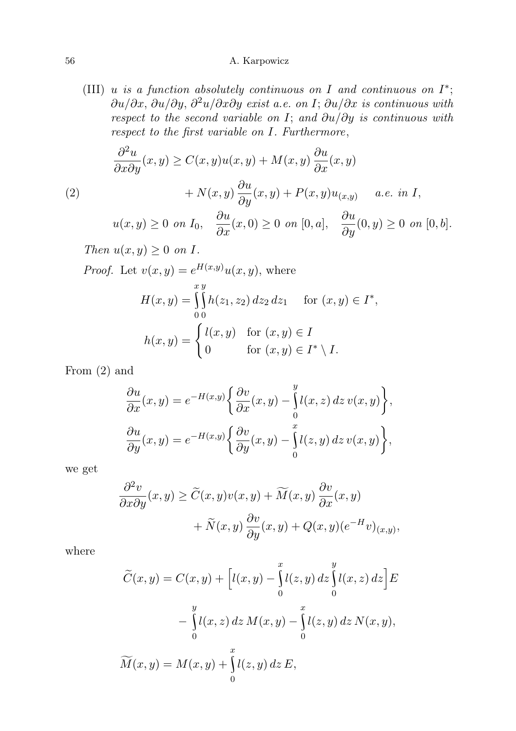(III) u is a function absolutely continuous on I and continuous on  $I^*$ ;  $\partial u/\partial x$ ,  $\partial u/\partial y$ ,  $\partial^2 u/\partial x\partial y$  exist a.e. on I;  $\partial u/\partial x$  is continuous with respect to the second variable on I; and  $\partial u/\partial y$  is continuous with respect to the first variable on I. Furthermore,

(2)  
\n
$$
\frac{\partial^2 u}{\partial x \partial y}(x, y) \ge C(x, y)u(x, y) + M(x, y)\frac{\partial u}{\partial x}(x, y)
$$
\n
$$
+ N(x, y)\frac{\partial u}{\partial y}(x, y) + P(x, y)u_{(x, y)} \quad a.e. \text{ in } I,
$$

$$
u(x,y) \ge 0 \text{ on } I_0, \quad \frac{\partial u}{\partial x}(x,0) \ge 0 \text{ on } [0,a], \quad \frac{\partial u}{\partial y}(0,y) \ge 0 \text{ on } [0,b].
$$

Then  $u(x, y) \geq 0$  on I.

*Proof.* Let  $v(x, y) = e^{H(x,y)}u(x, y)$ , where

$$
H(x,y) = \int_{0}^{x} h(z_1, z_2) dz_2 dz_1 \quad \text{for } (x, y) \in I^*,
$$
  

$$
h(x,y) = \begin{cases} l(x,y) & \text{for } (x,y) \in I \\ 0 & \text{for } (x,y) \in I^* \setminus I. \end{cases}
$$

From (2) and

$$
\frac{\partial u}{\partial x}(x,y) = e^{-H(x,y)} \left\{ \frac{\partial v}{\partial x}(x,y) - \int_0^y l(x,z) \, dz \, v(x,y) \right\},
$$

$$
\frac{\partial u}{\partial y}(x,y) = e^{-H(x,y)} \left\{ \frac{\partial v}{\partial y}(x,y) - \int_0^x l(z,y) \, dz \, v(x,y) \right\},
$$

we get

$$
\frac{\partial^2 v}{\partial x \partial y}(x, y) \ge \widetilde{C}(x, y)v(x, y) + \widetilde{M}(x, y)\frac{\partial v}{\partial x}(x, y) \n+ \widetilde{N}(x, y)\frac{\partial v}{\partial y}(x, y) + Q(x, y)(e^{-H}v)_{(x, y)},
$$

where

$$
\widetilde{C}(x,y) = C(x,y) + \left[l(x,y) - \int_0^x l(z,y) dz \int_0^y l(x,z) dz\right] E
$$
  

$$
- \int_0^y l(x,z) dz M(x,y) - \int_0^x l(z,y) dz N(x,y),
$$
  

$$
\widetilde{M}(x,y) = M(x,y) + \int_0^x l(z,y) dz E,
$$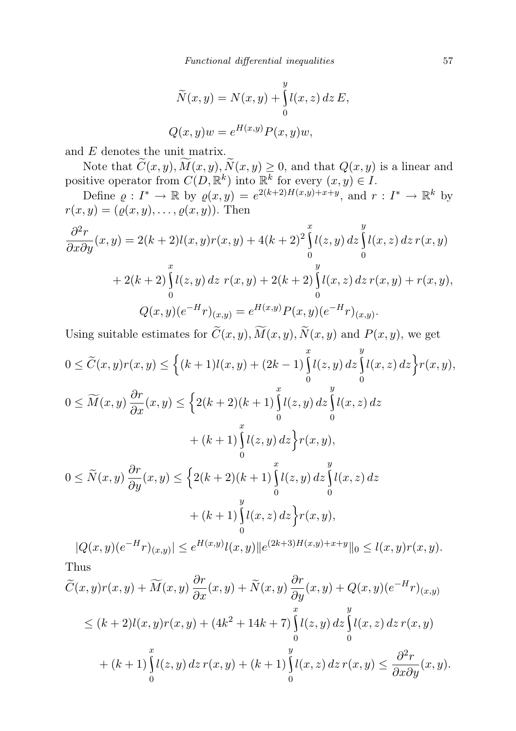$$
\widetilde{N}(x, y) = N(x, y) + \int_{0}^{y} l(x, z) dz E,
$$
  

$$
Q(x, y)w = e^{H(x, y)} P(x, y) w,
$$

and E denotes the unit matrix.

Note that  $\widetilde{C}(x, y), \widetilde{M}(x, y), \widetilde{N}(x, y) \ge 0$ , and that  $Q(x, y)$  is a linear and positive operator from  $C(D, \mathbb{R}^k)$  into  $\mathbb{R}^k$  for every  $(x, y) \in I$ .

Define  $\varrho: I^* \to \mathbb{R}$  by  $\varrho(x, y) = e^{2(k+2)H(x, y)+x+y}$ , and  $r: I^* \to \mathbb{R}^k$  by  $r(x, y) = (\varrho(x, y), \ldots, \varrho(x, y))$ . Then

$$
\frac{\partial^2 r}{\partial x \partial y}(x, y) = 2(k+2)l(x, y)r(x, y) + 4(k+2)^2 \int_0^x l(z, y) dz \int_0^y l(x, z) dz r(x, y)
$$
  
+ 2(k+2)  $\int_0^x l(z, y) dz r(x, y) + 2(k+2) \int_0^y l(x, z) dz r(x, y) + r(x, y),$   

$$
Q(x, y)(e^{-H}r)_{(x, y)} = e^{H(x, y)} P(x, y)(e^{-H}r)_{(x, y)}.
$$

Using suitable estimates for  $C(x, y)$ ,  $M(x, y)$ ,  $N(x, y)$  and  $P(x, y)$ , we get  $\boldsymbol{x}$  $\boldsymbol{u}$ 

$$
0 \le \widetilde{C}(x, y)r(x, y) \le \left\{ (k+1)l(x, y) + (2k-1) \int_0^x l(z, y) dz \int_0^y l(x, z) dz \right\} r(x, y),
$$
  
\n
$$
0 \le \widetilde{M}(x, y) \frac{\partial r}{\partial x}(x, y) \le \left\{ 2(k+2)(k+1) \int_0^x l(z, y) dz \int_0^y l(x, z) dz \right\}
$$
  
\n
$$
+ (k+1) \int_0^x l(z, y) dz \right\} r(x, y),
$$
  
\n
$$
0 \le \widetilde{N}(x, y) \frac{\partial r}{\partial y}(x, y) \le \left\{ 2(k+2)(k+1) \int_0^x l(z, y) dz \int_0^y l(x, z) dz \right\}
$$
  
\n
$$
+ (k+1) \int_0^y l(x, z) dz \right\} r(x, y),
$$

 $|Q(x,y)(e^{-H}r)_{(x,y)}| \leq e^{H(x,y)}l(x,y)||e^{(2k+3)H(x,y)+x+y}||_0 \leq l(x,y)r(x,y).$ Thus

$$
\widetilde{C}(x,y)r(x,y) + \widetilde{M}(x,y)\frac{\partial r}{\partial x}(x,y) + \widetilde{N}(x,y)\frac{\partial r}{\partial y}(x,y) + Q(x,y)(e^{-H}r)_{(x,y)} \leq (k+2)l(x,y)r(x,y) + (4k^2 + 14k + 7)\int_{0}^{x} l(z,y) dz \int_{0}^{y} l(x,z) dz r(x,y) \n+ (k+1)\int_{0}^{x} l(z,y) dz r(x,y) + (k+1)\int_{0}^{y} l(x,z) dz r(x,y) \leq \frac{\partial^2 r}{\partial x \partial y}(x,y).
$$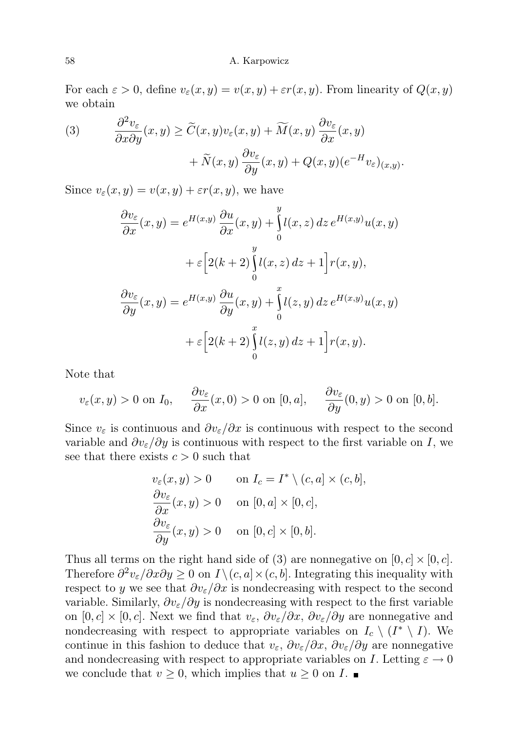For each  $\varepsilon > 0$ , define  $v_{\varepsilon}(x, y) = v(x, y) + \varepsilon r(x, y)$ . From linearity of  $Q(x, y)$ we obtain

(3) 
$$
\frac{\partial^2 v_{\varepsilon}}{\partial x \partial y}(x, y) \ge \widetilde{C}(x, y)v_{\varepsilon}(x, y) + \widetilde{M}(x, y)\frac{\partial v_{\varepsilon}}{\partial x}(x, y) + \widetilde{N}(x, y)\frac{\partial v_{\varepsilon}}{\partial y}(x, y) + Q(x, y)(e^{-H}v_{\varepsilon})_{(x, y)}.
$$

Since  $v_{\varepsilon}(x, y) = v(x, y) + \varepsilon r(x, y)$ , we have

$$
\frac{\partial v_{\varepsilon}}{\partial x}(x,y) = e^{H(x,y)} \frac{\partial u}{\partial x}(x,y) + \int_{0}^{y} l(x,z) dz e^{H(x,y)} u(x,y)
$$

$$
+ \varepsilon \left[ 2(k+2) \int_{0}^{y} l(x,z) dz + 1 \right] r(x,y),
$$

$$
\frac{\partial v_{\varepsilon}}{\partial y}(x,y) = e^{H(x,y)} \frac{\partial u}{\partial y}(x,y) + \int_{0}^{x} l(z,y) dz e^{H(x,y)} u(x,y)
$$

$$
+ \varepsilon \left[ 2(k+2) \int_{0}^{x} l(z,y) dz + 1 \right] r(x,y).
$$

Note that

$$
v_{\varepsilon}(x, y) > 0
$$
 on  $I_0$ ,  $\frac{\partial v_{\varepsilon}}{\partial x}(x, 0) > 0$  on  $[0, a], \frac{\partial v_{\varepsilon}}{\partial y}(0, y) > 0$  on  $[0, b].$ 

Since  $v_{\varepsilon}$  is continuous and  $\partial v_{\varepsilon}/\partial x$  is continuous with respect to the second variable and  $\partial v_{\varepsilon}/\partial y$  is continuous with respect to the first variable on I, we see that there exists  $c > 0$  such that

$$
v_{\varepsilon}(x, y) > 0 \qquad \text{on } I_c = I^* \setminus (c, a] \times (c, b],
$$
  
\n
$$
\frac{\partial v_{\varepsilon}}{\partial x}(x, y) > 0 \qquad \text{on } [0, a] \times [0, c],
$$
  
\n
$$
\frac{\partial v_{\varepsilon}}{\partial y}(x, y) > 0 \qquad \text{on } [0, c] \times [0, b].
$$

Thus all terms on the right hand side of (3) are nonnegative on  $[0, c] \times [0, c]$ . Therefore  $\partial^2 v_{\varepsilon}/\partial x \partial y \geq 0$  on  $I \setminus (c, a] \times (c, b]$ . Integrating this inequality with respect to y we see that  $\partial v_{\varepsilon}/\partial x$  is nondecreasing with respect to the second variable. Similarly,  $\partial v_{\varepsilon}/\partial y$  is nondecreasing with respect to the first variable on  $[0, c] \times [0, c]$ . Next we find that  $v_{\varepsilon}, \partial v_{\varepsilon}/\partial x, \partial v_{\varepsilon}/\partial y$  are nonnegative and nondecreasing with respect to appropriate variables on  $I_c \setminus (I^* \setminus I)$ . We continue in this fashion to deduce that  $v_{\varepsilon}, \partial v_{\varepsilon}/\partial x, \partial v_{\varepsilon}/\partial y$  are nonnegative and nondecreasing with respect to appropriate variables on I. Letting  $\varepsilon \to 0$ we conclude that  $v \geq 0$ , which implies that  $u \geq 0$  on  $I$ .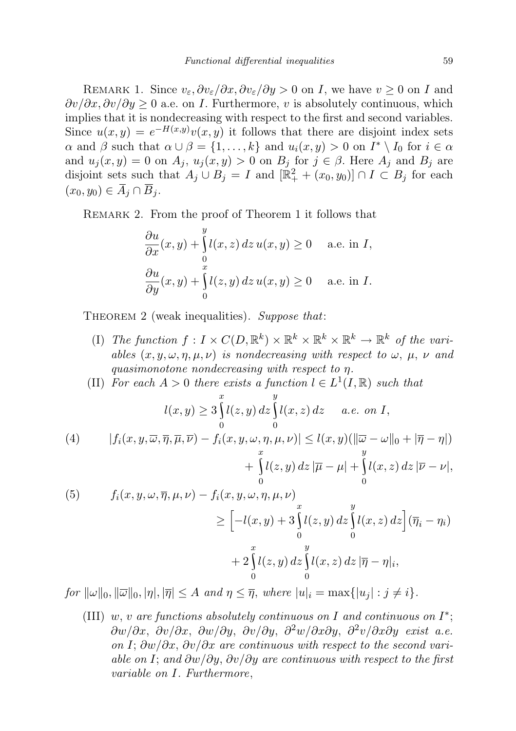REMARK 1. Since  $v_{\varepsilon}, \partial v_{\varepsilon}/\partial x, \partial v_{\varepsilon}/\partial y > 0$  on I, we have  $v \ge 0$  on I and  $\frac{\partial v}{\partial x}, \frac{\partial v}{\partial y} \ge 0$  a.e. on *I*. Furthermore, v is absolutely continuous, which implies that it is nondecreasing with respect to the first and second variables. Since  $u(x, y) = e^{-H(x, y)}v(x, y)$  it follows that there are disjoint index sets  $\alpha$  and  $\beta$  such that  $\alpha \cup \beta = \{1, ..., k\}$  and  $u_i(x, y) > 0$  on  $I^* \setminus I_0$  for  $i \in \alpha$ and  $u_j(x, y) = 0$  on  $A_j$ ,  $u_j(x, y) > 0$  on  $B_j$  for  $j \in \beta$ . Here  $A_j$  and  $B_j$  are disjoint sets such that  $A_j \cup B_j = I$  and  $[\mathbb{R}^2_+ + (x_0, y_0)] \cap I \subset B_j$  for each  $(x_0, y_0) \in \overline{A}_i \cap \overline{B}_i$ .

REMARK 2. From the proof of Theorem 1 it follows that

$$
\frac{\partial u}{\partial x}(x, y) + \int_{0}^{y} l(x, z) dz u(x, y) \ge 0 \quad \text{a.e. in } I,
$$
  

$$
\frac{\partial u}{\partial y}(x, y) + \int_{0}^{x} l(z, y) dz u(x, y) \ge 0 \quad \text{a.e. in } I.
$$

THEOREM 2 (weak inequalities). Suppose that:

- (I) The function  $f: I \times C(D, \mathbb{R}^k) \times \mathbb{R}^k \times \mathbb{R}^k \times \mathbb{R}^k \to \mathbb{R}^k$  of the variables  $(x, y, \omega, \eta, \mu, \nu)$  is nondecreasing with respect to  $\omega, \mu, \nu$  and quasimonotone nondecreasing with respect to η.
- (II) For each  $A > 0$  there exists a function  $l \in L^1(I, \mathbb{R})$  such that

$$
l(x,y) \ge 3 \int_{0}^{x} l(z,y) dz \int_{0}^{y} l(x,z) dz \quad a.e. \text{ on } I,
$$

(4) 
$$
|f_i(x, y, \overline{\omega}, \overline{\eta}, \overline{\mu}, \overline{\nu}) - f_i(x, y, \omega, \eta, \mu, \nu)| \le l(x, y)(\|\overline{\omega} - \omega\|_0 + |\overline{\eta} - \eta|) + \int_{0}^{x} l(z, y) dz \|\overline{\mu} - \mu\| + \int_{0}^{y} l(x, z) dz \|\overline{\nu} - \nu\|,
$$

(5) 
$$
f_i(x, y, \omega, \overline{\eta}, \mu, \nu) - f_i(x, y, \omega, \eta, \mu, \nu)
$$

$$
\geq \left[ -l(x, y) + 3 \int_0^x l(z, y) dz \int_0^y l(x, z) dz \right] (\overline{\eta}_i - \eta_i)
$$

$$
+ 2 \int_0^x l(z, y) dz \int_0^y l(x, z) dz |\overline{\eta} - \eta|_i,
$$

for  $\|\omega\|_0, \|\overline{\omega}\|_0, |\eta|, |\overline{\eta}| \leq A$  and  $\eta \leq \overline{\eta}$ , where  $|u|_i = \max\{|u_i| : j \neq i\}.$ 

(III) w, v are functions absolutely continuous on I and continuous on  $I^*$ ;  $\frac{\partial w}{\partial x}$ ,  $\frac{\partial v}{\partial x}$ ,  $\frac{\partial w}{\partial y}$ ,  $\frac{\partial v}{\partial y}$ ,  $\frac{\partial^2 w}{\partial x \partial y}$ ,  $\frac{\partial^2 v}{\partial x \partial y}$  exist a.e. on I; ∂w/∂x, ∂v/∂x are continuous with respect to the second variable on I; and  $\partial w/\partial y$ ,  $\partial v/\partial y$  are continuous with respect to the first variable on I. Furthermore,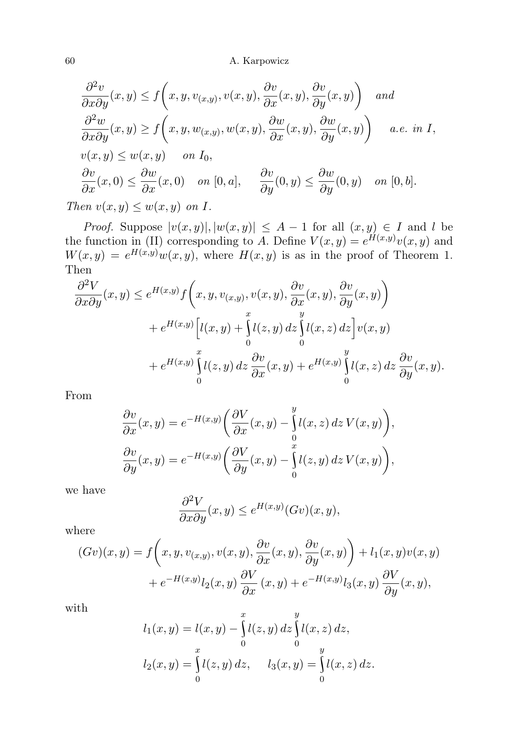$$
\frac{\partial^2 v}{\partial x \partial y}(x, y) \le f\left(x, y, v_{(x,y)}, v(x, y), \frac{\partial v}{\partial x}(x, y), \frac{\partial v}{\partial y}(x, y)\right) \text{ and}
$$
  

$$
\frac{\partial^2 w}{\partial x \partial y}(x, y) \ge f\left(x, y, w_{(x,y)}, w(x, y), \frac{\partial w}{\partial x}(x, y), \frac{\partial w}{\partial y}(x, y)\right) \quad a.e. \text{ in } I,
$$
  

$$
v(x, y) \le w(x, y) \quad \text{ on } I_0,
$$
  

$$
\frac{\partial v}{\partial x}(x, 0) \le \frac{\partial w}{\partial x}(x, 0) \quad \text{ on } [0, a], \quad \frac{\partial v}{\partial y}(0, y) \le \frac{\partial w}{\partial y}(0, y) \quad \text{ on } [0, b].
$$

Then  $v(x, y) \leq w(x, y)$  on I.

*Proof.* Suppose  $|v(x, y)|, |w(x, y)| \leq A - 1$  for all  $(x, y) \in I$  and l be the function in (II) corresponding to A. Define  $V(x, y) = e^{H(x, y)}v(x, y)$  and  $W(x,y) = e^{H(x,y)}w(x,y)$ , where  $H(x,y)$  is as in the proof of Theorem 1. Then

$$
\frac{\partial^2 V}{\partial x \partial y}(x, y) \le e^{H(x, y)} f\left(x, y, v_{(x, y)}, v(x, y), \frac{\partial v}{\partial x}(x, y), \frac{\partial v}{\partial y}(x, y)\right) \n+ e^{H(x, y)} \left[l(x, y) + \int_0^x l(z, y) dz \int_0^y l(x, z) dz\right] v(x, y) \n+ e^{H(x, y)} \int_0^x l(z, y) dz \frac{\partial v}{\partial x}(x, y) + e^{H(x, y)} \int_0^y l(x, z) dz \frac{\partial v}{\partial y}(x, y).
$$

From

$$
\frac{\partial v}{\partial x}(x,y) = e^{-H(x,y)} \left( \frac{\partial V}{\partial x}(x,y) - \int_0^y l(x,z) \, dz \, V(x,y) \right),
$$

$$
\frac{\partial v}{\partial y}(x,y) = e^{-H(x,y)} \left( \frac{\partial V}{\partial y}(x,y) - \int_0^x l(z,y) \, dz \, V(x,y) \right),
$$

we have

$$
\frac{\partial^2 V}{\partial x \partial y}(x, y) \le e^{H(x, y)}(Gv)(x, y),
$$

where

$$
(Gv)(x,y) = f\left(x,y,v_{(x,y)},v(x,y),\frac{\partial v}{\partial x}(x,y),\frac{\partial v}{\partial y}(x,y)\right) + l_1(x,y)v(x,y) + e^{-H(x,y)}l_2(x,y)\frac{\partial V}{\partial x}(x,y) + e^{-H(x,y)}l_3(x,y)\frac{\partial V}{\partial y}(x,y),
$$

with

$$
l_1(x, y) = l(x, y) - \int_0^x l(z, y) dz \int_0^y l(x, z) dz,
$$
  

$$
l_2(x, y) = \int_0^x l(z, y) dz, \qquad l_3(x, y) = \int_0^y l(x, z) dz.
$$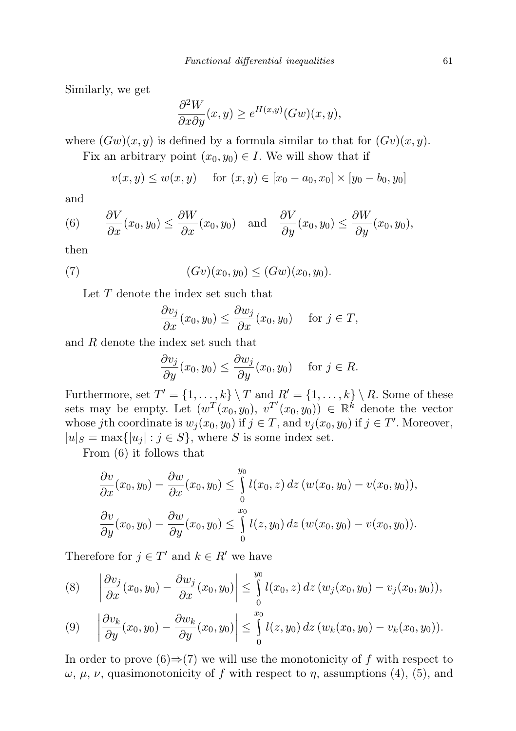Similarly, we get

$$
\frac{\partial^2 W}{\partial x \partial y}(x, y) \ge e^{H(x, y)}(Gw)(x, y),
$$

where  $(Gw)(x, y)$  is defined by a formula similar to that for  $(Gv)(x, y)$ .

Fix an arbitrary point  $(x_0, y_0) \in I$ . We will show that if

$$
v(x, y) \le w(x, y)
$$
 for  $(x, y) \in [x_0 - a_0, x_0] \times [y_0 - b_0, y_0]$ 

and

(6) 
$$
\frac{\partial V}{\partial x}(x_0, y_0) \le \frac{\partial W}{\partial x}(x_0, y_0)
$$
 and  $\frac{\partial V}{\partial y}(x_0, y_0) \le \frac{\partial W}{\partial y}(x_0, y_0)$ ,

then

(7) 
$$
(Gv)(x_0, y_0) \le (Gw)(x_0, y_0).
$$

Let T denote the index set such that

$$
\frac{\partial v_j}{\partial x}(x_0, y_0) \le \frac{\partial w_j}{\partial x}(x_0, y_0) \quad \text{for } j \in T,
$$

and R denote the index set such that

$$
\frac{\partial v_j}{\partial y}(x_0, y_0) \le \frac{\partial w_j}{\partial y}(x_0, y_0) \quad \text{for } j \in R.
$$

Furthermore, set  $T' = \{1, ..., k\} \setminus T$  and  $R' = \{1, ..., k\} \setminus R$ . Some of these sets may be empty. Let  $(w^T(x_0, y_0), v^{T'}(x_0, y_0)) \in \mathbb{R}^k$  denote the vector whose jth coordinate is  $w_j(x_0, y_0)$  if  $j \in T$ , and  $v_j(x_0, y_0)$  if  $j \in T'$ . Moreover,  $|u|_S = \max\{|u_j| : j \in S\}$ , where S is some index set.

From (6) it follows that

$$
\frac{\partial v}{\partial x}(x_0, y_0) - \frac{\partial w}{\partial x}(x_0, y_0) \leq \int_0^{y_0} l(x_0, z) dz (w(x_0, y_0) - v(x_0, y_0)),
$$
  

$$
\frac{\partial v}{\partial y}(x_0, y_0) - \frac{\partial w}{\partial y}(x_0, y_0) \leq \int_0^{x_0} l(z, y_0) dz (w(x_0, y_0) - v(x_0, y_0)).
$$

Therefore for  $j \in T'$  and  $k \in R'$  we have

$$
(8) \qquad \left|\frac{\partial v_j}{\partial x}(x_0,y_0)-\frac{\partial w_j}{\partial x}(x_0,y_0)\right|\leq \int\limits_0^{y_0}l(x_0,z)\,dz\,(w_j(x_0,y_0)-v_j(x_0,y_0)),
$$

$$
(9) \quad \left|\frac{\partial v_k}{\partial y}(x_0, y_0) - \frac{\partial w_k}{\partial y}(x_0, y_0)\right| \leq \int_{0}^{x_0} l(z, y_0) \, dz \, (w_k(x_0, y_0) - v_k(x_0, y_0)).
$$

In order to prove  $(6) \Rightarrow (7)$  we will use the monotonicity of f with respect to  $\omega$ ,  $\mu$ ,  $\nu$ , quasimonotonicity of f with respect to  $\eta$ , assumptions (4), (5), and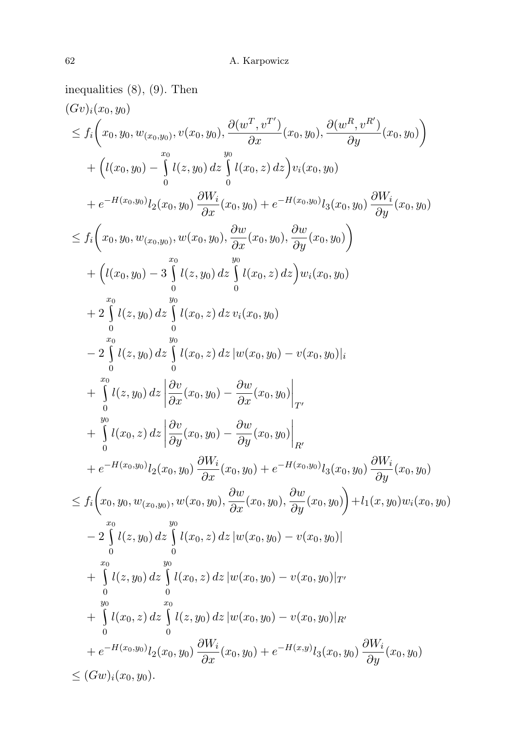inequalities (8), (9). Then  $(Gv)_{i}(x_0, y_0)$  $\leq f_i\bigg(x_0, y_0, w_{(x_0,y_0)}, v(x_0,y_0), \frac{\partial(w^T, v^{T'})}{\partial x}(x_0,y_0), \frac{\partial(w^R, v^{R'})}{\partial y}(x_0,y_0)\bigg)$ +  $(l(x_0, y_0) - \int_0^{x_0}$ 0  $l(z,y_0)\,dz$  $\int$  $\mathbf{0}$  $l(x_0, z) dz$ ) $v_i(x_0, y_0)$  $+ e^{-H(x_0, y_0)} l_2(x_0, y_0) \frac{\partial W_i}{\partial x}(x_0, y_0) + e^{-H(x_0, y_0)} l_3(x_0, y_0) \frac{\partial W_i}{\partial y}(x_0, y_0)$  $\leq f_i\bigg(x_0,y_0,w_{(x_0,y_0)},w(x_0,y_0),\frac{\partial w}{\partial x}(x_0,y_0),\frac{\partial w}{\partial y}(x_0,y_0)\bigg)$ +  $(l(x_0, y_0) - 3\int_0^{x_0}$  $\boldsymbol{0}$  $l(z,y_0)\,dz$  $\int$ 0  $l(x_0, z) dz u_i(x_0, y_0)$  $+\frac{x_0}{2}$  $\boldsymbol{0}$  $l(z,y_0)\,dz$  $\int$  $\boldsymbol{0}$  $l(x_0, z) dz v_i(x_0, y_0)$  $-2\int_0^{x_0}$  $\mathbf{0}$  $l(z,y_0)\,dz$  $\int$  $\mathbf{0}$  $l(x_0, z) dz$   $|w(x_0, y_0) - v(x_0, y_0)|_i$  $+\int_{0}^{x_0} l(z,y_0) dz$ 0  $\frac{\partial v}{\partial x}(x_0,y_0)-\frac{\partial w}{\partial x}(x_0,y_0)\bigg|_{T'}$  $+$  $\int\limits_{0}^{y_{0}}l(x_{0},z)\,dz\,\bigg|\,$  $\boldsymbol{0}$  $\frac{\partial v}{\partial y}(x_0, y_0) - \frac{\partial w}{\partial y}(x_0, y_0)\Big|_{R'}$  $+ e^{-H(x_0, y_0)} l_2(x_0, y_0) \frac{\partial W_i}{\partial x}(x_0, y_0) + e^{-H(x_0, y_0)} l_3(x_0, y_0) \frac{\partial W_i}{\partial y}(x_0, y_0)$  $\leq f_i\bigg(x_0, y_0, w_{(x_0,y_0)}, w(x_0,y_0), \frac{\partial w}{\partial x}(x_0,y_0), \frac{\partial w}{\partial y}(x_0,y_0)\bigg) + l_1(x,y_0)w_i(x_0,y_0)$  $\begin{pmatrix} x_0 \\ -2 \end{pmatrix}$  $\boldsymbol{0}$  $l(z,y_0)\,dz$  $\int$  $\boldsymbol{0}$  $l(x_0, z) dz |w(x_0, y_0) - v(x_0, y_0)|$  $+\int_0^x$ 0  $l(z,y_0)\,dz$  $\int$ 0  $l(x_0, z) dz$   $|w(x_0, y_0) - v(x_0, y_0)|_{T'}$  $+$  $\int$ 0  $l(x_0, z) dz \bigwedge^{x_0}$ 0  $l(z,y_0)\, dz\, |w(x_0,y_0) - v(x_0,y_0)|_{R^d}$  $+ e^{-H(x_0, y_0)} l_2(x_0, y_0) \frac{\partial W_i}{\partial x}(x_0, y_0) + e^{-H(x, y)} l_3(x_0, y_0) \frac{\partial W_i}{\partial y}(x_0, y_0)$  $\leq (Gw)_i(x_0, y_0).$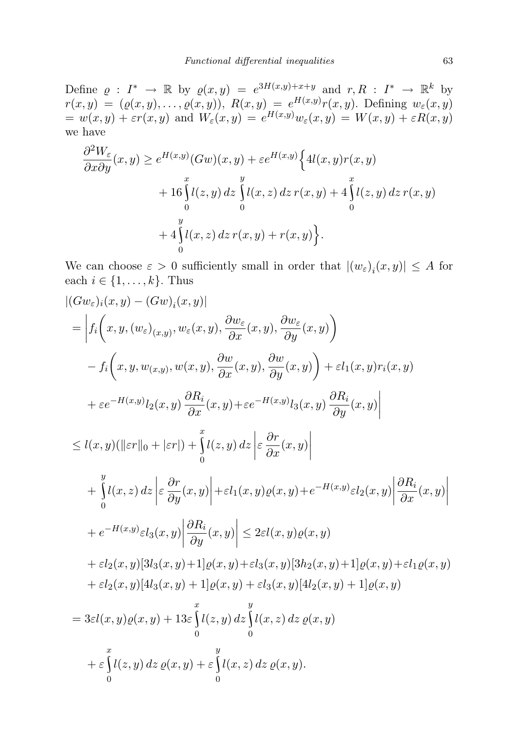Define  $\varrho : I^* \to \mathbb{R}$  by  $\varrho(x, y) = e^{3H(x, y)+x+y}$  and  $r, R : I^* \to \mathbb{R}^k$  by  $r(x,y) = (\varrho(x,y), \ldots, \varrho(x,y)), R(x,y) = e^{H(x,y)} r(x,y).$  Defining  $w_{\varepsilon}(x,y)$  $= w(x, y) + \varepsilon r(x, y)$  and  $W_{\varepsilon}(x, y) = e^{H(x, y)} w_{\varepsilon}(x, y) = W(x, y) + \varepsilon R(x, y)$ we have

$$
\frac{\partial^2 W_{\varepsilon}}{\partial x \partial y}(x, y) \ge e^{H(x, y)}(Gw)(x, y) + \varepsilon e^{H(x, y)} \Big\{ 4l(x, y)r(x, y) + 16 \int_0^x l(z, y) dz \int_0^y l(x, z) dz r(x, y) + 4 \int_0^x l(z, y) dz r(x, y) + 4 \int_0^y l(x, z) dz r(x, y) + r(x, y) \Big\}.
$$

We can choose  $\varepsilon > 0$  sufficiently small in order that  $|(w_{\varepsilon})_i(x, y)| \leq A$  for each  $i \in \{1, \ldots, k\}$ . Thus

$$
|(Gw_{\varepsilon})_i(x,y) - (Gw)_i(x,y)|
$$
  
\n
$$
= \left| f_i(x,y,(w_{\varepsilon})_{(x,y)},w_{\varepsilon}(x,y),\frac{\partial w_{\varepsilon}}{\partial x}(x,y),\frac{\partial w_{\varepsilon}}{\partial y}(x,y)\right|
$$
  
\n
$$
- f_i(x,y,w_{(x,y)},w(x,y),\frac{\partial w}{\partial x}(x,y),\frac{\partial w}{\partial y}(x,y)) + \varepsilon l_1(x,y)r_i(x,y)
$$
  
\n
$$
+ \varepsilon e^{-H(x,y)}l_2(x,y)\frac{\partial R_i}{\partial x}(x,y) + \varepsilon e^{-H(x,y)}l_3(x,y)\frac{\partial R_i}{\partial y}(x,y) \right|
$$
  
\n
$$
\leq l(x,y)(||\varepsilon r||_0 + |\varepsilon r|) + \int_0^x l(z,y) dz \left| \varepsilon \frac{\partial r}{\partial x}(x,y) \right|
$$
  
\n
$$
+ \int_0^y l(x,z) dz \left| \varepsilon \frac{\partial r}{\partial y}(x,y) \right| + \varepsilon l_1(x,y)\varrho(x,y) + e^{-H(x,y)}\varepsilon l_2(x,y) \left| \frac{\partial R_i}{\partial x}(x,y) \right|
$$
  
\n
$$
+ e^{-H(x,y)}\varepsilon l_3(x,y)\left| \frac{\partial R_i}{\partial y}(x,y) \right| \leq 2\varepsilon l(x,y)\varrho(x,y)
$$
  
\n
$$
+ \varepsilon l_2(x,y)[3l_3(x,y) + 1]\varrho(x,y) + \varepsilon l_3(x,y)[3h_2(x,y) + 1]\varrho(x,y) + \varepsilon l_1\varrho(x,y)
$$
  
\n
$$
+ \varepsilon l_2(x,y)[4l_3(x,y) + 1]\varrho(x,y) + \varepsilon l_3(x,y)[4l_2(x,y) + 1]\varrho(x,y)
$$
  
\n
$$
= 3\varepsilon l(x,y)\varrho(x,y) + 13\varepsilon \int_0^x l(z,y) dz \int_0^y l(x,z) dz \varrho(x,y)
$$
  
\n
$$
+ \varepsilon \int_0^x l(z,y) dz \varrho(x,y) + \varepsilon \int_0^y l(x,z) dz \varrho(x,y).
$$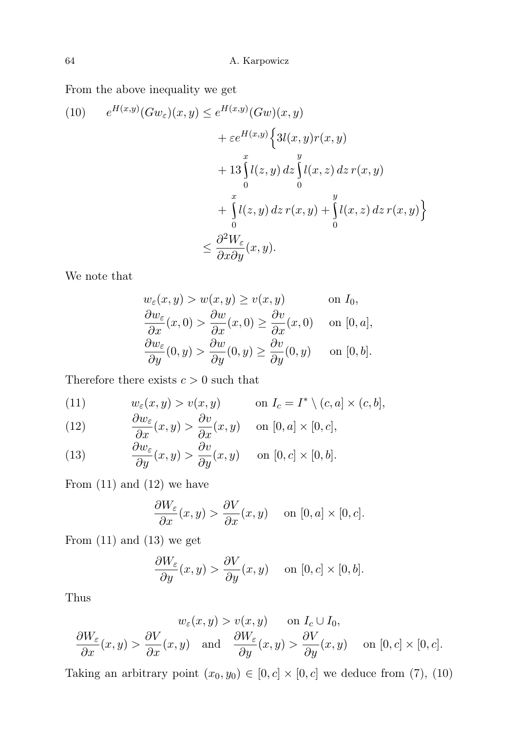From the above inequality we get

(10) 
$$
e^{H(x,y)}(Gw_{\varepsilon})(x,y) \leq e^{H(x,y)}(Gw)(x,y) + \varepsilon e^{H(x,y)} \Big\{ 3l(x,y)r(x,y) + 13 \int_{0}^{x} l(z,y) dz \int_{0}^{y} l(x,z) dz r(x,y) + \int_{0}^{x} l(z,y) dz r(x,y) + \int_{0}^{y} l(x,z) dz r(x,y) \Big\} < \frac{\partial^2 W_{\varepsilon}}{\partial x \partial y}(x,y).
$$

We note that

$$
w_{\varepsilon}(x, y) > w(x, y) \ge v(x, y) \quad \text{on } I_0,
$$
  
\n
$$
\frac{\partial w_{\varepsilon}}{\partial x}(x, 0) > \frac{\partial w}{\partial x}(x, 0) \ge \frac{\partial v}{\partial x}(x, 0) \quad \text{on } [0, a],
$$
  
\n
$$
\frac{\partial w_{\varepsilon}}{\partial y}(0, y) > \frac{\partial w}{\partial y}(0, y) \ge \frac{\partial v}{\partial y}(0, y) \quad \text{on } [0, b].
$$

Therefore there exists  $c > 0$  such that

(11) 
$$
w_{\varepsilon}(x, y) > v(x, y) \quad \text{on } I_c = I^* \setminus (c, a] \times (c, b],
$$

$$
\frac{\partial w}{\partial x}
$$

(12) 
$$
\frac{\partial w_{\varepsilon}}{\partial x}(x, y) > \frac{\partial v}{\partial x}(x, y) \quad \text{on } [0, a] \times [0, c],
$$

(13) 
$$
\frac{\partial w_{\varepsilon}}{\partial y}(x, y) > \frac{\partial v}{\partial y}(x, y) \quad \text{on } [0, c] \times [0, b].
$$

From  $(11)$  and  $(12)$  we have

$$
\frac{\partial W_{\varepsilon}}{\partial x}(x, y) > \frac{\partial V}{\partial x}(x, y) \quad \text{on } [0, a] \times [0, c].
$$

From  $(11)$  and  $(13)$  we get

$$
\frac{\partial W_{\varepsilon}}{\partial y}(x,y) > \frac{\partial V}{\partial y}(x,y) \quad \text{on } [0,c] \times [0,b].
$$

Thus

$$
w_{\varepsilon}(x, y) > v(x, y) \quad \text{on } I_c \cup I_0,
$$
  

$$
\frac{\partial W_{\varepsilon}}{\partial x}(x, y) > \frac{\partial V}{\partial x}(x, y) \quad \text{and} \quad \frac{\partial W_{\varepsilon}}{\partial y}(x, y) > \frac{\partial V}{\partial y}(x, y) \quad \text{on } [0, c] \times [0, c].
$$

Taking an arbitrary point  $(x_0, y_0) \in [0, c] \times [0, c]$  we deduce from (7), (10)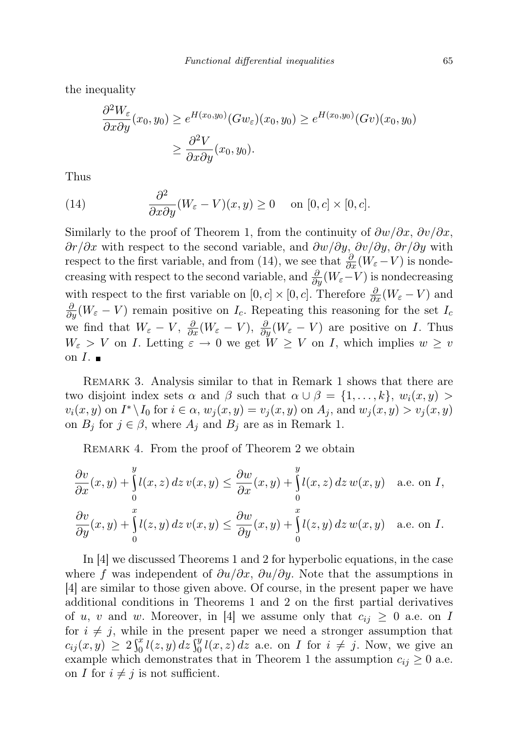the inequality

$$
\frac{\partial^2 W_{\varepsilon}}{\partial x \partial y}(x_0, y_0) \ge e^{H(x_0, y_0)}(Gw_{\varepsilon})(x_0, y_0) \ge e^{H(x_0, y_0)}(Gv)(x_0, y_0)
$$
  

$$
\ge \frac{\partial^2 V}{\partial x \partial y}(x_0, y_0).
$$

Thus

(14) 
$$
\frac{\partial^2}{\partial x \partial y}(W_{\varepsilon} - V)(x, y) \ge 0 \quad \text{on } [0, c] \times [0, c].
$$

Similarly to the proof of Theorem 1, from the continuity of  $\frac{\partial w}{\partial x}$ ,  $\frac{\partial v}{\partial x}$ ,  $\frac{\partial r}{\partial x}$  with respect to the second variable, and  $\frac{\partial w}{\partial y}$ ,  $\frac{\partial v}{\partial y}$ ,  $\frac{\partial r}{\partial y}$  with respect to the first variable, and from (14), we see that  $\frac{\partial}{\partial x}(W_{\varepsilon}-V)$  is nondecreasing with respect to the second variable, and  $\frac{\partial}{\partial y}(W_{\varepsilon}-V)$  is nondecreasing with respect to the first variable on  $[0, c] \times [0, c]$ . Therefore  $\frac{\partial}{\partial x}(W_{\varepsilon} - V)$  and  $\frac{\partial}{\partial y}(W_{\varepsilon}-V)$  remain positive on  $I_c$ . Repeating this reasoning for the set  $I_c$ we find that  $W_{\varepsilon} - V$ ,  $\frac{\partial}{\partial x}(W_{\varepsilon} - V)$ ,  $\frac{\partial}{\partial y}(W_{\varepsilon} - V)$  are positive on *I*. Thus  $W_{\varepsilon} > V$  on I. Letting  $\varepsilon \to 0$  we get  $W \geq V$  on I, which implies  $w \geq v$ on  $I$ .

Remark 3. Analysis similar to that in Remark 1 shows that there are two disjoint index sets  $\alpha$  and  $\beta$  such that  $\alpha \cup \beta = \{1, \ldots, k\}, w_i(x, y) >$  $v_i(x, y)$  on  $I^* \backslash I_0$  for  $i \in \alpha$ ,  $w_j(x, y) = v_j(x, y)$  on  $A_j$ , and  $w_j(x, y) > v_j(x, y)$ on  $B_j$  for  $j \in \beta$ , where  $A_j$  and  $B_j$  are as in Remark 1.

REMARK 4. From the proof of Theorem 2 we obtain

$$
\frac{\partial v}{\partial x}(x,y) + \int_{0}^{y} l(x,z) dz v(x,y) \leq \frac{\partial w}{\partial x}(x,y) + \int_{0}^{y} l(x,z) dz w(x,y) \quad \text{a.e. on } I,
$$
  

$$
\frac{\partial v}{\partial y}(x,y) + \int_{0}^{x} l(z,y) dz v(x,y) \leq \frac{\partial w}{\partial y}(x,y) + \int_{0}^{x} l(z,y) dz w(x,y) \quad \text{a.e. on } I.
$$

In [4] we discussed Theorems 1 and 2 for hyperbolic equations, in the case where f was independent of  $\partial u/\partial x$ ,  $\partial u/\partial y$ . Note that the assumptions in [4] are similar to those given above. Of course, in the present paper we have additional conditions in Theorems 1 and 2 on the first partial derivatives of u, v and w. Moreover, in [4] we assume only that  $c_{ij} \geq 0$  a.e. on I for  $i \neq j$ , while in the present paper we need a stronger assumption that  $c_{ij}(x,y) \geq 2 \int_0^x l(z,y) dz \int_0^y l(x,z) dz$  a.e. on I for  $i \neq j$ . Now, we give an example which demonstrates that in Theorem 1 the assumption  $c_{ij} \geq 0$  a.e. on I for  $i \neq j$  is not sufficient.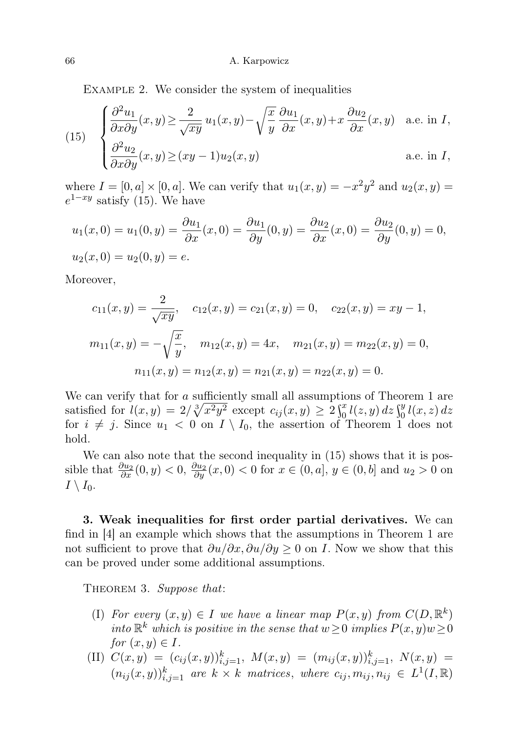EXAMPLE 2. We consider the system of inequalities

(15) 
$$
\begin{cases} \frac{\partial^2 u_1}{\partial x \partial y}(x, y) \ge \frac{2}{\sqrt{xy}} u_1(x, y) - \sqrt{\frac{x}{y}} \frac{\partial u_1}{\partial x}(x, y) + x \frac{\partial u_2}{\partial x}(x, y) & \text{a.e. in } I, \\ \frac{\partial^2 u_2}{\partial x \partial y}(x, y) \ge (xy - 1)u_2(x, y) & \text{a.e. in } I, \end{cases}
$$

where  $I = [0, a] \times [0, a]$ . We can verify that  $u_1(x, y) = -x^2y^2$  and  $u_2(x, y) =$  $e^{1-xy}$  satisfy (15). We have

$$
u_1(x,0) = u_1(0,y) = \frac{\partial u_1}{\partial x}(x,0) = \frac{\partial u_1}{\partial y}(0,y) = \frac{\partial u_2}{\partial x}(x,0) = \frac{\partial u_2}{\partial y}(0,y) = 0,
$$
  

$$
u_2(x,0) = u_2(0,y) = e.
$$

Moreover,

$$
c_{11}(x,y) = \frac{2}{\sqrt{xy}}, \quad c_{12}(x,y) = c_{21}(x,y) = 0, \quad c_{22}(x,y) = xy - 1,
$$

$$
m_{11}(x,y) = -\sqrt{\frac{x}{y}}, \quad m_{12}(x,y) = 4x, \quad m_{21}(x,y) = m_{22}(x,y) = 0,
$$

$$
n_{11}(x,y) = n_{12}(x,y) = n_{21}(x,y) = n_{22}(x,y) = 0.
$$

We can verify that for a sufficiently small all assumptions of Theorem 1 are satisfied for  $l(x, y) = 2/\sqrt[3]{x^2 y^2}$  except  $c_{ij}(x, y) \ge 2 \int_0^x l(z, y) dz \int_0^y l(x, z) dz$ for  $i \neq j$ . Since  $u_1 < 0$  on  $I \setminus I_0$ , the assertion of Theorem 1 does not hold.

We can also note that the second inequality in  $(15)$  shows that it is possible that  $\frac{\partial u_2}{\partial x}(0, y) < 0$ ,  $\frac{\partial u_2}{\partial y}(x, 0) < 0$  for  $x \in (0, a]$ ,  $y \in (0, b]$  and  $u_2 > 0$  on  $I \setminus I_0$ .

3. Weak inequalities for first order partial derivatives. We can find in [4] an example which shows that the assumptions in Theorem 1 are not sufficient to prove that  $\frac{\partial u}{\partial x}$ ,  $\frac{\partial u}{\partial y} > 0$  on I. Now we show that this can be proved under some additional assumptions.

THEOREM 3. Suppose that:

- (I) For every  $(x, y) \in I$  we have a linear map  $P(x, y)$  from  $C(D, \mathbb{R}^k)$ into  $\mathbb{R}^k$  which is positive in the sense that  $w \geq 0$  implies  $P(x, y)w \geq 0$ for  $(x, y) \in I$ .
- (II)  $C(x,y) = (c_{ij}(x,y))_{i,j=1}^k$ ,  $M(x,y) = (m_{ij}(x,y))_{i,j=1}^k$ ,  $N(x,y) =$  $(n_{ij}(x, y))_{i,j=1}^k$  are  $k \times k$  matrices, where  $c_{ij}, m_{ij}, n_{ij} \in L^1(I, \mathbb{R})$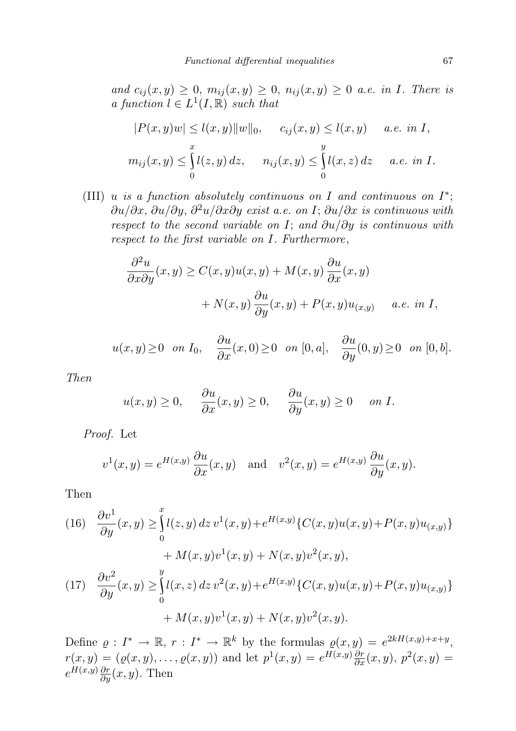and  $c_{ij}(x, y) \geq 0$ ,  $m_{ij}(x, y) \geq 0$ ,  $n_{ij}(x, y) \geq 0$  a.e. in I. There is a function  $l \in L^1(I,\mathbb{R})$  such that

$$
|P(x,y)w| \le l(x,y) ||w||_0, \quad c_{ij}(x,y) \le l(x,y) \quad a.e. \text{ in } I,
$$
  

$$
m_{ij}(x,y) \le \int_0^x l(z,y) dz, \quad n_{ij}(x,y) \le \int_0^y l(x,z) dz \quad a.e. \text{ in } I.
$$

(III) u is a function absolutely continuous on I and continuous on  $I^*$ ;  $\partial u/\partial x$ ,  $\partial u/\partial y$ ,  $\partial^2 u/\partial x\partial y$  exist a.e. on I;  $\partial u/\partial x$  is continuous with respect to the second variable on I; and  $\partial u/\partial y$  is continuous with respect to the first variable on I. Furthermore,

$$
\frac{\partial^2 u}{\partial x \partial y}(x, y) \ge C(x, y)u(x, y) + M(x, y)\frac{\partial u}{\partial x}(x, y) \n+ N(x, y)\frac{\partial u}{\partial y}(x, y) + P(x, y)u_{(x, y)} \quad a.e. \text{ in } I,
$$

$$
u(x,y) \ge 0
$$
 on  $I_0$ ,  $\frac{\partial u}{\partial x}(x,0) \ge 0$  on  $[0,a]$ ,  $\frac{\partial u}{\partial y}(0,y) \ge 0$  on  $[0,b]$ .

Then

$$
u(x,y) \ge 0
$$
,  $\frac{\partial u}{\partial x}(x,y) \ge 0$ ,  $\frac{\partial u}{\partial y}(x,y) \ge 0$  on *I*.

Proof. Let

$$
v^1(x, y) = e^{H(x,y)} \frac{\partial u}{\partial x}(x, y)
$$
 and  $v^2(x, y) = e^{H(x,y)} \frac{\partial u}{\partial y}(x, y).$ 

Then

(16) 
$$
\frac{\partial v^1}{\partial y}(x, y) \ge \int_0^x l(z, y) dz v^1(x, y) + e^{H(x, y)} \{C(x, y)u(x, y) + P(x, y)u_{(x, y)}\} + M(x, y)v^1(x, y) + N(x, y)v^2(x, y),
$$
  
\n(17) 
$$
\frac{\partial v^2}{\partial y}(x, y) \ge \int_0^y l(x, z) dz v^2(x, y) + e^{H(x, y)} \{C(x, y)u(x, y) + P(x, y)u_{(x, y)}\} + M(x, y)v^1(x, y) + N(x, y)v^2(x, y).
$$

Define  $\varrho: I^* \to \mathbb{R}, r: I^* \to \mathbb{R}^k$  by the formulas  $\varrho(x, y) = e^{2kH(x, y)+x+y}$ ,  $r(x,y) = (\varrho(x,y), \dots, \varrho(x,y))$  and let  $p^{1}(x,y) = e^{H(x,y)} \frac{\partial r}{\partial x}(x,y), p^{2}(x,y) =$  $e^{H(x,y)}\frac{\partial r}{\partial y}(x,y)$ . Then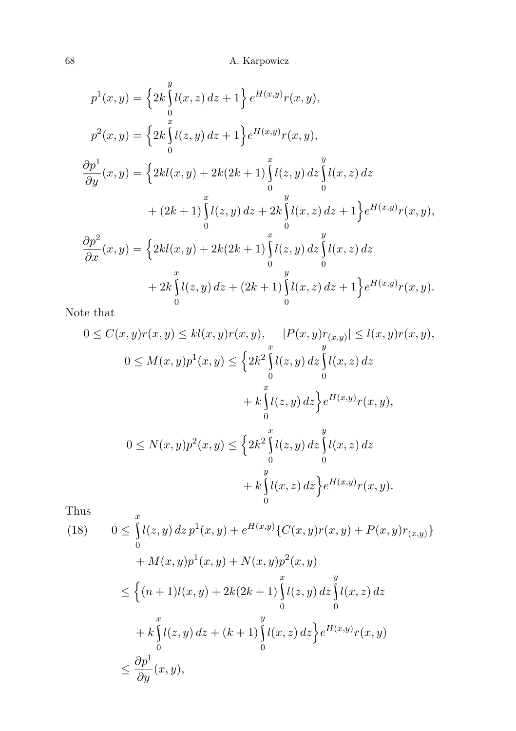$$
p^{1}(x, y) = \left\{ 2k \int_{0}^{y} l(x, z) dz + 1 \right\} e^{H(x, y)} r(x, y),
$$
  
\n
$$
p^{2}(x, y) = \left\{ 2k \int_{0}^{x} l(z, y) dz + 1 \right\} e^{H(x, y)} r(x, y),
$$
  
\n
$$
\frac{\partial p^{1}}{\partial y}(x, y) = \left\{ 2kl(x, y) + 2k(2k + 1) \int_{0}^{x} l(z, y) dz \int_{0}^{y} l(x, z) dz + (2k + 1) \int_{0}^{x} l(z, y) dz + 2k \int_{0}^{y} l(x, z) dz + 1 \right\} e^{H(x, y)} r(x, y),
$$
  
\n
$$
\frac{\partial p^{2}}{\partial x}(x, y) = \left\{ 2kl(x, y) + 2k(2k + 1) \int_{0}^{x} l(z, y) dz \int_{0}^{y} l(x, z) dz + 2k \int_{0}^{y} l(z, y) dz + (2k + 1) \int_{0}^{y} l(x, z) dz + 1 \right\} e^{H(x, y)} r(x, y).
$$

Note that

$$
0 \le C(x, y)r(x, y) \le kl(x, y)r(x, y), \quad |P(x, y)r(x, y)| \le l(x, y)r(x, y),
$$
  

$$
0 \le M(x, y)p^{1}(x, y) \le \left\{2k^{2}\int_{0}^{x}l(z, y) dz\int_{0}^{y}l(x, z) dz + k\int_{0}^{x}l(z, y) dz\right\}e^{H(x, y)}r(x, y),
$$
  

$$
0 \le N(x, y)p^{2}(x, y) \le \left\{2k^{2}\int_{0}^{x}l(z, y) dz\int_{0}^{y}l(x, z) dz + k\int_{0}^{y}l(x, z) dz\right\}e^{H(x, y)}r(x, y).
$$

Thus

Thus  
\n(18) 
$$
0 \le \int_{0}^{x} l(z, y) dz p^{1}(x, y) + e^{H(x, y)} \{C(x, y)r(x, y) + P(x, y)r(x, y)\} + M(x, y)p^{1}(x, y) + N(x, y)p^{2}(x, y)
$$
\n
$$
\le \left\{(n+1)l(x, y) + 2k(2k+1)\int_{0}^{x} l(z, y) dz \int_{0}^{y} l(x, z) dz\right\}
$$
\n
$$
+ k \int_{0}^{x} l(z, y) dz + (k+1) \int_{0}^{y} l(x, z) dz \Big\} e^{H(x, y)} r(x, y)
$$
\n
$$
\le \frac{\partial p^{1}}{\partial y}(x, y),
$$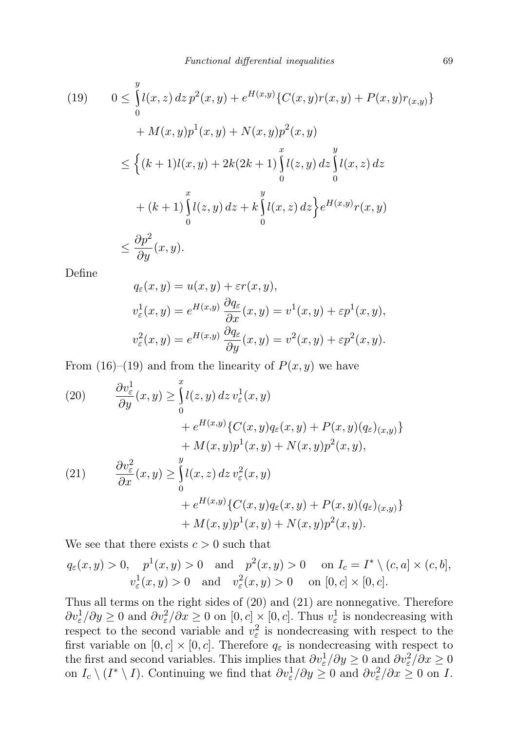(19) 
$$
0 \leq \int_{0}^{y} l(x, z) dz p^{2}(x, y) + e^{H(x, y)} \{C(x, y)r(x, y) + P(x, y)r(x, y)\}\
$$

$$
+ M(x, y)p^{1}(x, y) + N(x, y)p^{2}(x, y)
$$

$$
\leq \left\{ (k+1)l(x, y) + 2k(2k+1) \int_{0}^{x} l(z, y) dz \int_{0}^{y} l(x, z) dz \right\}
$$

$$
+ (k+1) \int_{0}^{x} l(z, y) dz + k \int_{0}^{y} l(x, z) dz \Big\} e^{H(x, y)} r(x, y)
$$

$$
\leq \frac{\partial p^{2}}{\partial y}(x, y).
$$

Define

$$
q_{\varepsilon}(x, y) = u(x, y) + \varepsilon r(x, y),
$$
  
\n
$$
v_{\varepsilon}^{1}(x, y) = e^{H(x, y)} \frac{\partial q_{\varepsilon}}{\partial x}(x, y) = v^{1}(x, y) + \varepsilon p^{1}(x, y),
$$
  
\n
$$
v_{\varepsilon}^{2}(x, y) = e^{H(x, y)} \frac{\partial q_{\varepsilon}}{\partial y}(x, y) = v^{2}(x, y) + \varepsilon p^{2}(x, y).
$$

From  $(16)$ – $(19)$  and from the linearity of  $P(x, y)$  we have

(20) 
$$
\frac{\partial v_{\varepsilon}^{1}}{\partial y}(x, y) \geq \int_{0}^{x} l(z, y) dz v_{\varepsilon}^{1}(x, y) \n+ e^{H(x, y)} \{C(x, y)q_{\varepsilon}(x, y) + P(x, y)(q_{\varepsilon})_{(x, y)}\} \n+ M(x, y)p^{1}(x, y) + N(x, y)p^{2}(x, y),
$$
\n(21) 
$$
\frac{\partial v_{\varepsilon}^{2}}{\partial x}(x, y) \geq \int_{0}^{y} l(x, z) dz v_{\varepsilon}^{2}(x, y) \n+ e^{H(x, y)} \{C(x, y)q_{\varepsilon}(x, y) + P(x, y)(q_{\varepsilon})_{(x, y)}\} \n+ M(x, y)p^{1}(x, y) + N(x, y)p^{2}(x, y).
$$

We see that there exists  $c > 0$  such that

$$
q_{\varepsilon}(x, y) > 0, \quad p^{1}(x, y) > 0 \quad \text{and} \quad p^{2}(x, y) > 0 \quad \text{on } I_{c} = I^{*} \setminus (c, a] \times (c, b],
$$
  

$$
v_{\varepsilon}^{1}(x, y) > 0 \quad \text{and} \quad v_{\varepsilon}^{2}(x, y) > 0 \quad \text{on } [0, c] \times [0, c].
$$

Thus all terms on the right sides of (20) and (21) are nonnegative. Therefore  $\partial v_{\varepsilon}^1/\partial y \ge 0$  and  $\partial v_{\varepsilon}^2/\partial x \ge 0$  on  $[0, c] \times [0, c]$ . Thus  $v_{\varepsilon}^1$  is nondecreasing with respect to the second variable and  $v_{\varepsilon}^2$  is nondecreasing with respect to the first variable on  $[0, c] \times [0, c]$ . Therefore  $q_{\varepsilon}$  is nondecreasing with respect to the first and second variables. This implies that  $\partial v_\varepsilon^1/\partial y \ge 0$  and  $\partial v_\varepsilon^2/\partial x \ge 0$ on  $I_c \setminus (I^* \setminus I)$ . Continuing we find that  $\partial v_\varepsilon^1/\partial y \geq 0$  and  $\partial v_\varepsilon^2/\partial x \geq 0$  on I.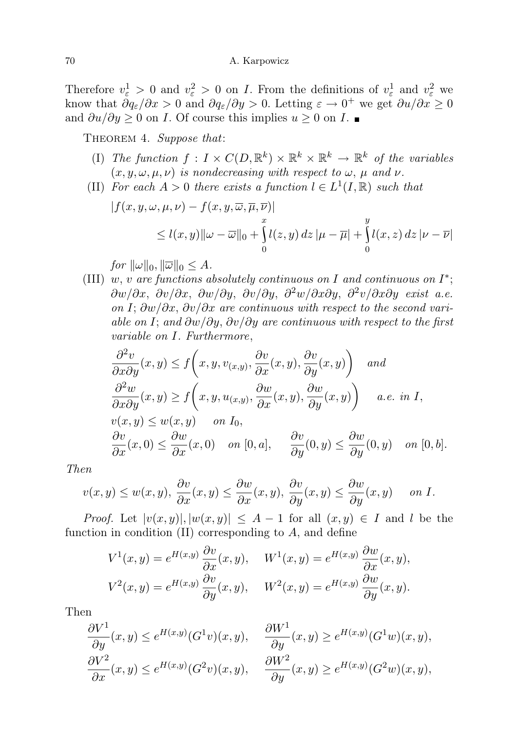Therefore  $v_{\varepsilon}^1 > 0$  and  $v_{\varepsilon}^2 > 0$  on *I*. From the definitions of  $v_{\varepsilon}^1$  and  $v_{\varepsilon}^2$  we know that  $\partial q_{\varepsilon}/\partial x > 0$  and  $\partial q_{\varepsilon}/\partial y > 0$ . Letting  $\varepsilon \to 0^+$  we get  $\partial u/\partial x \ge 0$ and  $\partial u/\partial y \geq 0$  on *I*. Of course this implies  $u \geq 0$  on *I*.

THEOREM 4. Suppose that:

- (I) The function  $f: I \times C(D, \mathbb{R}^k) \times \mathbb{R}^k \times \mathbb{R}^k \to \mathbb{R}^k$  of the variables  $(x, y, \omega, \mu, \nu)$  is nondecreasing with respect to  $\omega$ ,  $\mu$  and  $\nu$ .
- (II) For each  $A > 0$  there exists a function  $l \in L^1(I, \mathbb{R})$  such that

$$
|f(x, y, \omega, \mu, \nu) - f(x, y, \overline{\omega}, \overline{\mu}, \overline{\nu})|
$$
  
\n
$$
\leq l(x, y) ||\omega - \overline{\omega}||_0 + \int_0^x l(z, y) dz | \mu - \overline{\mu}| + \int_0^y l(x, z) dz | \nu - \overline{\nu}|
$$

for  $\|\omega\|_0$ ,  $\|\overline{\omega}\|_0 \leq A$ .

(III) w, v are functions absolutely continuous on I and continuous on  $I^*$ ;  $\partial w/\partial x$ ,  $\partial v/\partial x$ ,  $\partial w/\partial y$ ,  $\partial v/\partial y$ ,  $\partial^2 w/\partial x \partial y$ ,  $\partial^2 v/\partial x \partial y$  exist a.e. on I;  $\frac{\partial w}{\partial x}$ ,  $\frac{\partial v}{\partial x}$  are continuous with respect to the second variable on I; and  $\partial w/\partial y$ ,  $\partial v/\partial y$  are continuous with respect to the first variable on I. Furthermore,

$$
\frac{\partial^2 v}{\partial x \partial y}(x, y) \le f\left(x, y, v_{(x,y)}, \frac{\partial v}{\partial x}(x, y), \frac{\partial v}{\partial y}(x, y)\right) \text{ and}
$$
  

$$
\frac{\partial^2 w}{\partial x \partial y}(x, y) \ge f\left(x, y, u_{(x,y)}, \frac{\partial w}{\partial x}(x, y), \frac{\partial w}{\partial y}(x, y)\right) \text{ a.e. in } I,
$$
  

$$
v(x, y) \le w(x, y) \text{ on } I_0,
$$
  

$$
\frac{\partial v}{\partial x}(x, 0) \le \frac{\partial w}{\partial x}(x, 0) \text{ on } [0, a], \frac{\partial v}{\partial y}(0, y) \le \frac{\partial w}{\partial y}(0, y) \text{ on } [0, b].
$$

Then

$$
v(x,y) \le w(x,y), \ \frac{\partial v}{\partial x}(x,y) \le \frac{\partial w}{\partial x}(x,y), \ \frac{\partial v}{\partial y}(x,y) \le \frac{\partial w}{\partial y}(x,y) \quad \text{on } I.
$$

*Proof.* Let  $|v(x,y)|, |w(x,y)| \leq A - 1$  for all  $(x,y) \in I$  and l be the function in condition  $(II)$  corresponding to  $A$ , and define

$$
V^{1}(x, y) = e^{H(x, y)} \frac{\partial v}{\partial x}(x, y), \quad W^{1}(x, y) = e^{H(x, y)} \frac{\partial w}{\partial x}(x, y),
$$
  

$$
V^{2}(x, y) = e^{H(x, y)} \frac{\partial v}{\partial y}(x, y), \quad W^{2}(x, y) = e^{H(x, y)} \frac{\partial w}{\partial y}(x, y).
$$

Then

$$
\frac{\partial V^1}{\partial y}(x,y) \le e^{H(x,y)}(G^1v)(x,y), \quad \frac{\partial W^1}{\partial y}(x,y) \ge e^{H(x,y)}(G^1w)(x,y),
$$
  

$$
\frac{\partial V^2}{\partial x}(x,y) \le e^{H(x,y)}(G^2v)(x,y), \quad \frac{\partial W^2}{\partial y}(x,y) \ge e^{H(x,y)}(G^2w)(x,y),
$$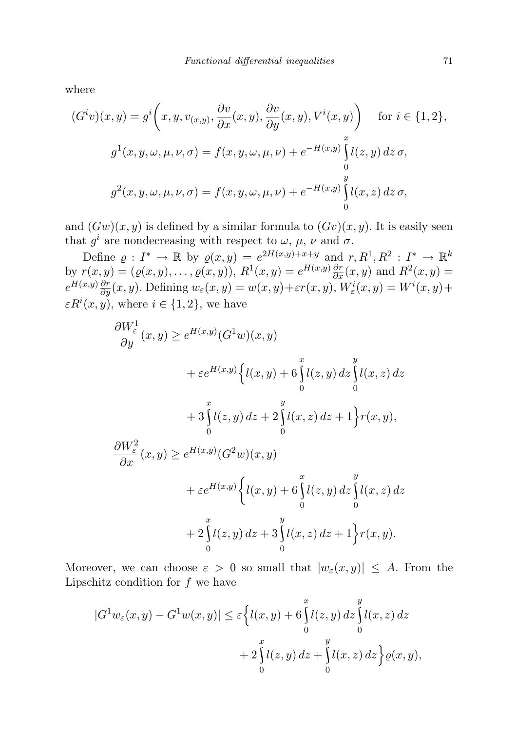where

$$
(Giv)(x, y) = gi (x, y, v(x,y), \frac{\partial v}{\partial x}(x, y), \frac{\partial v}{\partial y}(x, y), Vi(x, y)) \quad \text{for } i \in \{1, 2\},
$$
  

$$
g1(x, y, \omega, \mu, \nu, \sigma) = f(x, y, \omega, \mu, \nu) + e-H(x,y) \int_{0}^{x} l(z, y) dz \sigma,
$$
  

$$
g2(x, y, \omega, \mu, \nu, \sigma) = f(x, y, \omega, \mu, \nu) + e-H(x,y) \int_{0}^{y} l(x, z) dz \sigma,
$$

and  $(Gw)(x, y)$  is defined by a similar formula to  $(Gv)(x, y)$ . It is easily seen that  $g^i$  are nondecreasing with respect to  $\omega, \mu, \nu$  and  $\sigma$ .

Define  $\varrho: I^* \to \mathbb{R}$  by  $\varrho(x,y) = e^{2H(x,y)+x+y}$  and  $r, R^1, R^2: I^* \to \mathbb{R}^k$ by  $r(x, y) = (\varrho(x, y), \dots, \varrho(x, y)), R^{1}(x, y) = e^{H(x, y)} \frac{\partial r}{\partial x}(x, y)$  and  $R^{2}(x, y) =$  $e^{H(x,y)}\frac{\partial r}{\partial y}(x,y)$ . Defining  $w_{\varepsilon}(x,y) = w(x,y) + \varepsilon r(x,y)$ ,  $W_{\varepsilon}^{i}(x,y) = W^{i}(x,y) +$  $\varepsilon R^i(x, y)$ , where  $i \in \{1, 2\}$ , we have

$$
\frac{\partial W_{\varepsilon}^{1}}{\partial y}(x, y) \ge e^{H(x,y)}(G^{1}w)(x, y)
$$
\n
$$
+ \varepsilon e^{H(x,y)} \Biggl\{ l(x, y) + 6 \int_{0}^{x} l(z, y) dz \int_{0}^{y} l(x, z) dz
$$
\n
$$
+ 3 \int_{0}^{x} l(z, y) dz + 2 \int_{0}^{y} l(x, z) dz + 1 \Biggr\} r(x, y),
$$
\n
$$
\frac{\partial W_{\varepsilon}^{2}}{\partial x}(x, y) \ge e^{H(x,y)} (G^{2}w)(x, y)
$$
\n
$$
+ \varepsilon e^{H(x,y)} \Biggl\{ l(x, y) + 6 \int_{0}^{x} l(z, y) dz \int_{0}^{y} l(x, z) dz
$$
\n
$$
+ 2 \int_{0}^{x} l(z, y) dz + 3 \int_{0}^{y} l(x, z) dz + 1 \Biggr\} r(x, y).
$$

Moreover, we can choose  $\varepsilon > 0$  so small that  $|w_{\varepsilon}(x, y)| \leq A$ . From the Lipschitz condition for  $f$  we have

$$
|G^{1}w_{\varepsilon}(x,y) - G^{1}w(x,y)| \leq \varepsilon \Biggl\{ l(x,y) + 6 \int_{0}^{x} l(z,y) dz \int_{0}^{y} l(x,z) dz + 2 \int_{0}^{x} l(z,y) dz + \int_{0}^{y} l(x,z) dz \Biggr\} \varrho(x,y),
$$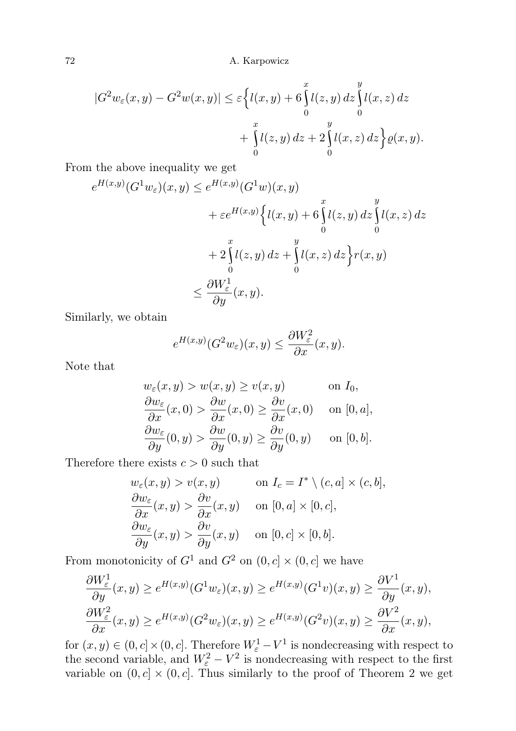$$
|G^{2}w_{\varepsilon}(x,y) - G^{2}w(x,y)| \leq \varepsilon \Biggl\{ l(x,y) + 6 \int_{0}^{x} l(z,y) dz \int_{0}^{y} l(x,z) dz + \int_{0}^{x} l(z,y) dz + 2 \int_{0}^{y} l(x,z) dz \Biggr\} \varrho(x,y).
$$

From the above inequality we get

$$
e^{H(x,y)}(G^1w_{\varepsilon})(x,y) \le e^{H(x,y)}(G^1w)(x,y)
$$
  
+  $\varepsilon e^{H(x,y)}\Big\{l(x,y) + 6\int_0^x l(z,y) dz \int_0^y l(x,z) dz$   
+  $2\int_0^x l(z,y) dz + \int_0^y l(x,z) dz \Big\} r(x,y)$   
 $\le \frac{\partial W^1_{\varepsilon}}{\partial y}(x,y).$ 

Similarly, we obtain

$$
e^{H(x,y)}(G^2w_{\varepsilon})(x,y) \le \frac{\partial W_{\varepsilon}^2}{\partial x}(x,y).
$$

Note that

$$
w_{\varepsilon}(x, y) > w(x, y) \ge v(x, y) \quad \text{on } I_0,
$$
  
\n
$$
\frac{\partial w_{\varepsilon}}{\partial x}(x, 0) > \frac{\partial w}{\partial x}(x, 0) \ge \frac{\partial v}{\partial x}(x, 0) \quad \text{on } [0, a],
$$
  
\n
$$
\frac{\partial w_{\varepsilon}}{\partial y}(0, y) > \frac{\partial w}{\partial y}(0, y) \ge \frac{\partial v}{\partial y}(0, y) \quad \text{on } [0, b].
$$

Therefore there exists  $c > 0$  such that

$$
w_{\varepsilon}(x, y) > v(x, y) \qquad \text{on } I_c = I^* \setminus (c, a] \times (c, b],
$$
  
\n
$$
\frac{\partial w_{\varepsilon}}{\partial x}(x, y) > \frac{\partial v}{\partial x}(x, y) \qquad \text{on } [0, a] \times [0, c],
$$
  
\n
$$
\frac{\partial w_{\varepsilon}}{\partial y}(x, y) > \frac{\partial v}{\partial y}(x, y) \qquad \text{on } [0, c] \times [0, b].
$$

From monotonicity of  $G^1$  and  $G^2$  on  $(0, c] \times (0, c]$  we have

$$
\frac{\partial W_{\varepsilon}^{1}}{\partial y}(x,y) \ge e^{H(x,y)}(G^{1}w_{\varepsilon})(x,y) \ge e^{H(x,y)}(G^{1}v)(x,y) \ge \frac{\partial V^{1}}{\partial y}(x,y),
$$
  

$$
\frac{\partial W_{\varepsilon}^{2}}{\partial x}(x,y) \ge e^{H(x,y)}(G^{2}w_{\varepsilon})(x,y) \ge e^{H(x,y)}(G^{2}v)(x,y) \ge \frac{\partial V^{2}}{\partial x}(x,y),
$$

for  $(x, y) \in (0, c] \times (0, c]$ . Therefore  $W_{\varepsilon}^1 - V^1$  is nondecreasing with respect to the second variable, and  $W_{\varepsilon}^2 - V^2$  is nondecreasing with respect to the first variable on  $(0, c] \times (0, c]$ . Thus similarly to the proof of Theorem 2 we get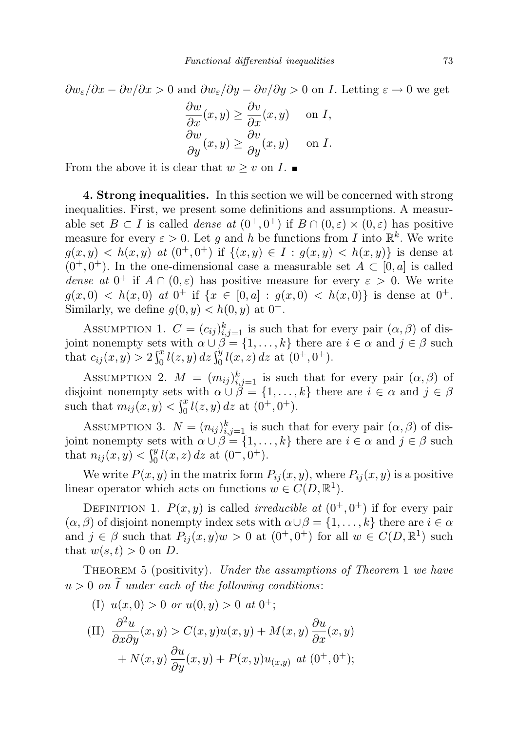$$
\frac{\partial w_{\varepsilon}}{\partial x} - \frac{\partial v}{\partial x} > 0
$$
 and  $\frac{\partial w_{\varepsilon}}{\partial y} - \frac{\partial v}{\partial y} > 0$  on *I*. Letting  $\varepsilon \to 0$  we get

$$
\frac{\partial w}{\partial x}(x, y) \ge \frac{\partial v}{\partial x}(x, y) \quad \text{on } I,
$$
  

$$
\frac{\partial w}{\partial y}(x, y) \ge \frac{\partial v}{\partial y}(x, y) \quad \text{on } I.
$$

From the above it is clear that  $w \geq v$  on  $I$ .

4. Strong inequalities. In this section we will be concerned with strong inequalities. First, we present some definitions and assumptions. A measurable set  $B \subset I$  is called *dense at*  $(0^+, 0^+)$  if  $B \cap (0, \varepsilon) \times (0, \varepsilon)$  has positive measure for every  $\varepsilon > 0$ . Let g and h be functions from I into  $\mathbb{R}^k$ . We write  $g(x, y) < h(x, y)$  at  $(0^+, 0^+)$  if  $\{(x, y) \in I : g(x, y) < h(x, y)\}\$ is dense at  $(0^+, 0^+)$ . In the one-dimensional case a measurable set  $A \subset [0, a]$  is called dense at  $0^+$  if  $A \cap (0,\varepsilon)$  has positive measure for every  $\varepsilon > 0$ . We write  $g(x, 0) < h(x, 0)$  at  $0^+$  if  $\{x \in [0, a] : g(x, 0) < h(x, 0)\}$  is dense at  $0^+$ . Similarly, we define  $g(0, y) < h(0, y)$  at  $0^+$ .

ASSUMPTION 1.  $C = (c_{ij})_{i,j=1}^k$  is such that for every pair  $(\alpha, \beta)$  of disjoint nonempty sets with  $\alpha \cup \beta = \{1, ..., k\}$  there are  $i \in \alpha$  and  $j \in \beta$  such that  $c_{ij}(x, y) > 2 \int_0^x l(z, y) dz \int_0^y l(x, z) dz$  at  $(0^+, 0^+)$ .

ASSUMPTION 2.  $M = (m_{ij})_{i,j=1}^k$  is such that for every pair  $(\alpha, \beta)$  of disjoint nonempty sets with  $\alpha \cup \beta = \{1, \ldots, k\}$  there are  $i \in \alpha$  and  $j \in \beta$ such that  $m_{ij}(x, y) < \int_0^x l(z, y) dz$  at  $(0^+, 0^+).$ 

ASSUMPTION 3.  $N = (n_{ij})_{i,j=1}^k$  is such that for every pair  $(\alpha, \beta)$  of disjoint nonempty sets with  $\alpha \cup \beta = \{1, ..., k\}$  there are  $i \in \alpha$  and  $j \in \beta$  such that  $n_{ij}(x, y) < \int_0^y l(x, z) dz$  at  $(0^+, 0^+).$ 

We write  $P(x, y)$  in the matrix form  $P_{ij}(x, y)$ , where  $P_{ij}(x, y)$  is a positive linear operator which acts on functions  $w \in C(D, \mathbb{R}^1)$ .

DEFINITION 1.  $P(x, y)$  is called *irreducible at*  $(0^+, 0^+)$  if for every pair  $(\alpha, \beta)$  of disjoint nonempty index sets with  $\alpha \cup \beta = \{1, \ldots, k\}$  there are  $i \in \alpha$ and  $j \in \beta$  such that  $P_{ij}(x, y)w > 0$  at  $(0^+, 0^+)$  for all  $w \in C(D, \mathbb{R}^1)$  such that  $w(s,t) > 0$  on D.

Theorem 5 (positivity). Under the assumptions of Theorem 1 we have  $u > 0$  on I under each of the following conditions:

(I)  $u(x, 0) > 0$  or  $u(0, y) > 0$  at  $0^+$ ; (II)  $\frac{\partial^2 u}{\partial x^2}$  $\frac{\partial^2 u}{\partial x \partial y}(x, y) > C(x, y)u(x, y) + M(x, y)\frac{\partial u}{\partial x}(x, y)$ +  $N(x, y) \frac{\partial u}{\partial y}(x, y) + P(x, y)u_{(x, y)}$  at  $(0^+, 0^+);$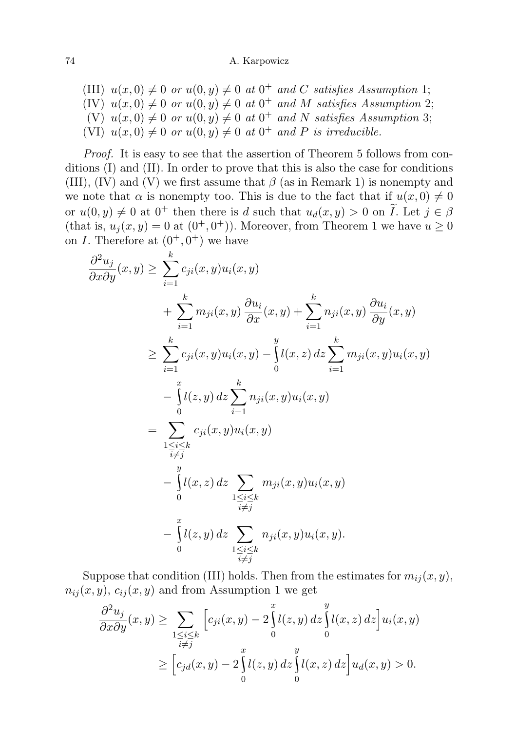(III)  $u(x, 0) \neq 0$  or  $u(0, y) \neq 0$  at  $0^+$  and C satisfies Assumption 1; (IV)  $u(x, 0) \neq 0$  or  $u(0, y) \neq 0$  at  $0^+$  and M satisfies Assumption 2; (V)  $u(x, 0) \neq 0$  or  $u(0, y) \neq 0$  at  $0^{+}$  and N satisfies Assumption 3; (VI)  $u(x, 0) \neq 0$  or  $u(0, y) \neq 0$  at  $0^+$  and P is irreducible.

Proof. It is easy to see that the assertion of Theorem 5 follows from conditions (I) and (II). In order to prove that this is also the case for conditions (III), (IV) and (V) we first assume that  $\beta$  (as in Remark 1) is nonempty and we note that  $\alpha$  is nonempty too. This is due to the fact that if  $u(x, 0) \neq 0$ or  $u(0, y) \neq 0$  at  $0^+$  then there is d such that  $u_d(x, y) > 0$  on  $\tilde{I}$ . Let  $j \in \beta$ (that is,  $u_j(x, y) = 0$  at  $(0^+, 0^+)$ ). Moreover, from Theorem 1 we have  $u \ge 0$ on *I*. Therefore at  $(0^+, 0^+)$  we have

$$
\frac{\partial^2 u_j}{\partial x \partial y}(x, y) \geq \sum_{i=1}^k c_{ji}(x, y) u_i(x, y)
$$
\n
$$
+ \sum_{i=1}^k m_{ji}(x, y) \frac{\partial u_i}{\partial x}(x, y) + \sum_{i=1}^k n_{ji}(x, y) \frac{\partial u_i}{\partial y}(x, y)
$$
\n
$$
\geq \sum_{i=1}^k c_{ji}(x, y) u_i(x, y) - \int_0^y l(x, z) dz \sum_{i=1}^k m_{ji}(x, y) u_i(x, y)
$$
\n
$$
- \int_0^x l(z, y) dz \sum_{i=1}^k n_{ji}(x, y) u_i(x, y)
$$
\n
$$
= \sum_{\substack{1 \leq i \leq k \\ i \neq j}}^y c_{ji}(x, y) u_i(x, y)
$$
\n
$$
- \int_0^y l(x, z) dz \sum_{\substack{1 \leq i \leq k \\ i \neq j}}^y m_{ji}(x, y) u_i(x, y)
$$
\n
$$
- \int_0^x l(z, y) dz \sum_{\substack{1 \leq i \leq k \\ i \neq j}}^y n_{ji}(x, y) u_i(x, y).
$$

Suppose that condition (III) holds. Then from the estimates for  $m_{ij}(x, y)$ ,  $n_{ij}(x, y), c_{ij}(x, y)$  and from Assumption 1 we get

$$
\frac{\partial^2 u_j}{\partial x \partial y}(x, y) \ge \sum_{\substack{1 \le i \le k \\ i \ne j}} \left[ c_{ji}(x, y) - 2 \int_0^x l(z, y) dz \int_0^y l(x, z) dz \right] u_i(x, y)
$$
  
\n
$$
\ge \left[ c_{jd}(x, y) - 2 \int_0^x l(z, y) dz \int_0^y l(x, z) dz \right] u_d(x, y) > 0.
$$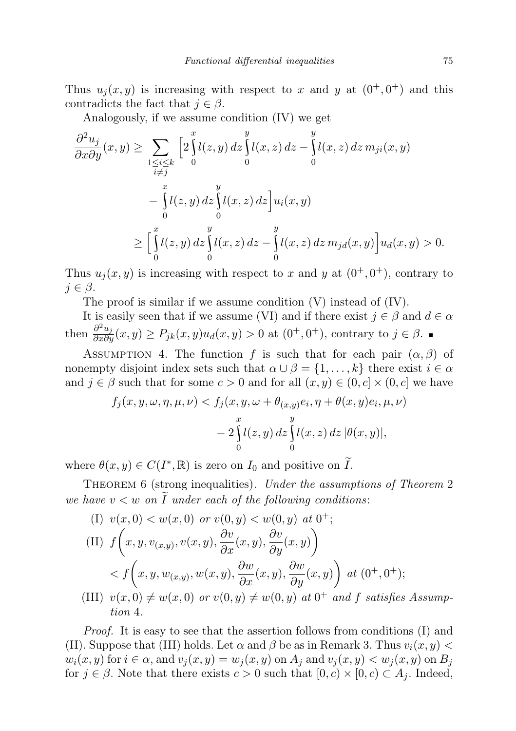Thus  $u_j(x, y)$  is increasing with respect to x and y at  $(0^+, 0^+)$  and this contradicts the fact that  $j \in \beta$ .

Analogously, if we assume condition (IV) we get

$$
\frac{\partial^2 u_j}{\partial x \partial y}(x, y) \ge \sum_{\substack{1 \le i \le k \\ i \ne j}} \left[ 2 \int_0^x l(z, y) dz \int_0^y l(x, z) dz - \int_0^y l(x, z) dz m_{ji}(x, y) - \int_0^x l(z, y) dz \int_0^y l(x, z) dz \right] u_i(x, y)
$$

$$
= \left[ \int_0^x l(z, y) dz \int_0^y l(x, z) dz - \int_0^y l(x, z) dz m_{ji}(x, y) \right] u_d(x, y) > 0.
$$

Thus  $u_j(x, y)$  is increasing with respect to x and y at  $(0^+, 0^+)$ , contrary to  $j \in \beta$ .

The proof is similar if we assume condition (V) instead of (IV).

It is easily seen that if we assume (VI) and if there exist  $j \in \beta$  and  $d \in \alpha$ then  $\frac{\partial^2 u_j}{\partial x \partial y}(x, y) \ge P_{jk}(x, y)u_d(x, y) > 0$  at  $(0^+, 0^+)$ , contrary to  $j \in \beta$ .

ASSUMPTION 4. The function f is such that for each pair  $(\alpha, \beta)$  of nonempty disjoint index sets such that  $\alpha \cup \beta = \{1, \ldots, k\}$  there exist  $i \in \alpha$ and  $j \in \beta$  such that for some  $c > 0$  and for all  $(x, y) \in (0, c] \times (0, c]$  we have

$$
f_j(x, y, \omega, \eta, \mu, \nu) < f_j(x, y, \omega + \theta_{(x, y)}e_i, \eta + \theta(x, y)e_i, \mu, \nu) \\
- 2 \int_0^x l(z, y) \, dz \int_0^y l(x, z) \, dz \, |\theta(x, y)|,
$$

where  $\theta(x, y) \in C(I^*, \mathbb{R})$  is zero on  $I_0$  and positive on  $\widetilde{I}$ .

THEOREM 6 (strong inequalities). Under the assumptions of Theorem 2 we have  $v < w$  on  $\widetilde{I}$  under each of the following conditions:

(I) 
$$
v(x, 0) < w(x, 0)
$$
 or  $v(0, y) < w(0, y)$  at 0<sup>+</sup>;  
\n(II)  $f\left(x, y, v_{(x,y)}, v(x, y), \frac{\partial v}{\partial x}(x, y), \frac{\partial v}{\partial y}(x, y)\right)$   
\n $< f\left(x, y, w_{(x,y)}, w(x, y), \frac{\partial w}{\partial x}(x, y), \frac{\partial w}{\partial y}(x, y)\right)$  at (0<sup>+</sup>, 0<sup>+</sup>);  
\n(III)  $v(x, 0) \neq w(x, 0)$  or  $v(0, y) \neq w(0, y)$  at 0<sup>+</sup> and f satisfies

(III)  $v(x, 0) \neq w(x, 0)$  or  $v(0, y) \neq w(0, y)$  at  $0^+$  and f satisfies Assumption 4.

Proof. It is easy to see that the assertion follows from conditions (I) and (II). Suppose that (III) holds. Let  $\alpha$  and  $\beta$  be as in Remark 3. Thus  $v_i(x, y)$  $w_i(x, y)$  for  $i \in \alpha$ , and  $v_j(x, y) = w_j(x, y)$  on  $A_j$  and  $v_j(x, y) < w_j(x, y)$  on  $B_j$ for  $j \in \beta$ . Note that there exists  $c > 0$  such that  $[0, c) \times [0, c) \subset A_j$ . Indeed,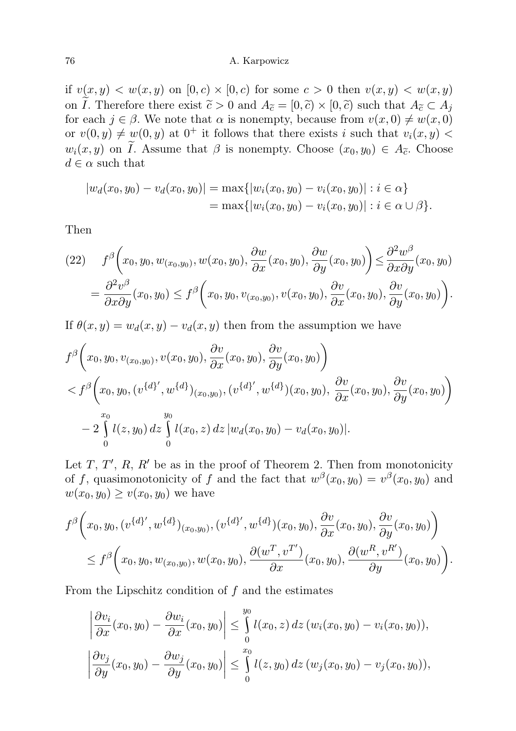if  $v(x, y) < w(x, y)$  on  $[0, c) \times [0, c)$  for some  $c > 0$  then  $v(x, y) < w(x, y)$ on  $\tilde{I}$ . Therefore there exist  $\tilde{c} > 0$  and  $A_{\tilde{c}} = [0, \tilde{c}) \times [0, \tilde{c})$  such that  $A_{\tilde{c}} \subset A_j$ for each  $j \in \beta$ . We note that  $\alpha$  is nonempty, because from  $v(x, 0) \neq w(x, 0)$ or  $v(0, y) \neq w(0, y)$  at  $0^+$  it follows that there exists i such that  $v_i(x, y)$  $w_i(x, y)$  on *I*. Assume that  $\beta$  is nonempty. Choose  $(x_0, y_0) \in A_{\tilde{c}}$ . Choose  $d \in \alpha$  such that

$$
|w_d(x_0, y_0) - v_d(x_0, y_0)| = \max\{|w_i(x_0, y_0) - v_i(x_0, y_0)| : i \in \alpha\}
$$
  
= 
$$
\max\{|w_i(x_0, y_0) - v_i(x_0, y_0)| : i \in \alpha \cup \beta\}.
$$

Then

$$
(22) \qquad f^{\beta}\left(x_0, y_0, w_{(x_0, y_0)}, w(x_0, y_0), \frac{\partial w}{\partial x}(x_0, y_0), \frac{\partial w}{\partial y}(x_0, y_0)\right) \leq \frac{\partial^2 w^{\beta}}{\partial x \partial y}(x_0, y_0)
$$

$$
= \frac{\partial^2 v^{\beta}}{\partial x \partial y}(x_0, y_0) \leq f^{\beta}\left(x_0, y_0, v_{(x_0, y_0)}, v(x_0, y_0), \frac{\partial v}{\partial x}(x_0, y_0), \frac{\partial v}{\partial y}(x_0, y_0)\right).
$$

If  $\theta(x, y) = w_d(x, y) - v_d(x, y)$  then from the assumption we have

$$
f^{\beta}\left(x_0, y_0, v_{(x_0, y_0)}, v(x_0, y_0), \frac{\partial v}{\partial x}(x_0, y_0), \frac{\partial v}{\partial y}(x_0, y_0)\right) < f^{\beta}\left(x_0, y_0, (v^{\{d\}'}, w^{\{d\}})_{(x_0, y_0)}, (v^{\{d\}'}, w^{\{d\}})(x_0, y_0), \frac{\partial v}{\partial x}(x_0, y_0), \frac{\partial v}{\partial y}(x_0, y_0)\right) - 2 \int_{0}^{x_0} l(z, y_0) dz \int_{0}^{y_0} l(x_0, z) dz |w_d(x_0, y_0) - v_d(x_0, y_0)|.
$$

Let  $T, T', R, R'$  be as in the proof of Theorem 2. Then from monotonicity of f, quasimonotonicity of f and the fact that  $w^{\beta}(x_0, y_0) = v^{\beta}(x_0, y_0)$  and  $w(x_0, y_0) \geq v(x_0, y_0)$  we have

$$
f^{\beta}\left(x_{0}, y_{0}, (v^{\{d\}'}, w^{\{d\}})_{(x_{0}, y_{0})}, (v^{\{d\}'}, w^{\{d\}}) (x_{0}, y_{0}), \frac{\partial v}{\partial x}(x_{0}, y_{0}), \frac{\partial v}{\partial y}(x_{0}, y_{0})\right) \leq f^{\beta}\left(x_{0}, y_{0}, w_{(x_{0}, y_{0})}, w(x_{0}, y_{0}), \frac{\partial (w^{T}, v^{T'})}{\partial x}(x_{0}, y_{0}), \frac{\partial (w^{R}, v^{R'})}{\partial y}(x_{0}, y_{0})\right).
$$

From the Lipschitz condition of  $f$  and the estimates

$$
\left|\frac{\partial v_i}{\partial x}(x_0, y_0) - \frac{\partial w_i}{\partial x}(x_0, y_0)\right| \leq \int_0^{y_0} l(x_0, z) dz (w_i(x_0, y_0) - v_i(x_0, y_0)),
$$
  

$$
\left|\frac{\partial v_j}{\partial y}(x_0, y_0) - \frac{\partial w_j}{\partial y}(x_0, y_0)\right| \leq \int_0^{x_0} l(z, y_0) dz (w_j(x_0, y_0) - v_j(x_0, y_0)),
$$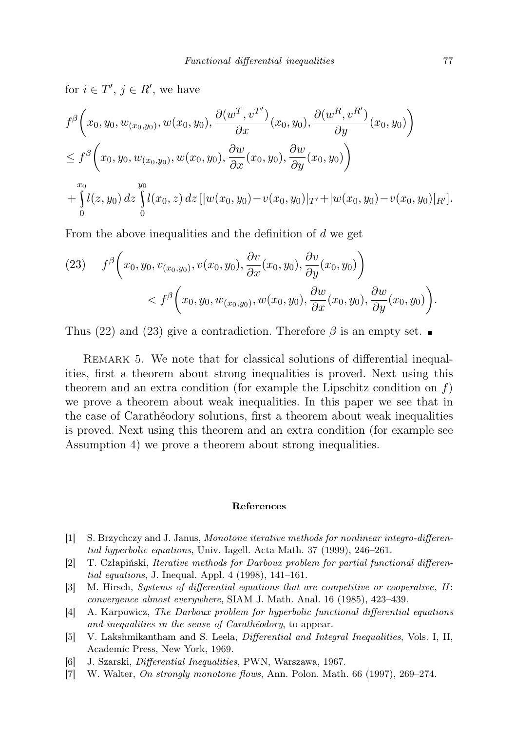for  $i \in T'$ ,  $j \in R'$ , we have

$$
f^{\beta}\left(x_0, y_0, w_{(x_0, y_0)}, w(x_0, y_0), \frac{\partial(w^T, v^{T'})}{\partial x}(x_0, y_0), \frac{\partial(w^R, v^{R'})}{\partial y}(x_0, y_0)\right) \leq f^{\beta}\left(x_0, y_0, w_{(x_0, y_0)}, w(x_0, y_0), \frac{\partial w}{\partial x}(x_0, y_0), \frac{\partial w}{\partial y}(x_0, y_0)\right) + \int_{0}^{x_0} l(z, y_0) dz \int_{0}^{y_0} l(x_0, z) dz \left[ |w(x_0, y_0) - v(x_0, y_0)|_{T'} + |w(x_0, y_0) - v(x_0, y_0)|_{R'} \right].
$$

From the above inequalities and the definition of d we get

(23) 
$$
f^{\beta}\left(x_0, y_0, v_{(x_0, y_0)}, v(x_0, y_0), \frac{\partial v}{\partial x}(x_0, y_0), \frac{\partial v}{\partial y}(x_0, y_0)\right) < f^{\beta}\left(x_0, y_0, w_{(x_0, y_0)}, w(x_0, y_0), \frac{\partial w}{\partial x}(x_0, y_0), \frac{\partial w}{\partial y}(x_0, y_0)\right).
$$

Thus (22) and (23) give a contradiction. Therefore  $\beta$  is an empty set.

REMARK 5. We note that for classical solutions of differential inequalities, first a theorem about strong inequalities is proved. Next using this theorem and an extra condition (for example the Lipschitz condition on  $f$ ) we prove a theorem about weak inequalities. In this paper we see that in the case of Carathéodory solutions, first a theorem about weak inequalities is proved. Next using this theorem and an extra condition (for example see Assumption 4) we prove a theorem about strong inequalities.

#### References

- [1] S. Brzychczy and J. Janus, Monotone iterative methods for nonlinear integro-differential hyperbolic equations, Univ. Iagell. Acta Math. 37 (1999), 246–261.
- [2] T. Człapiński, Iterative methods for Darboux problem for partial functional differential equations, J. Inequal. Appl. 4 (1998), 141–161.
- [3] M. Hirsch, Systems of differential equations that are competitive or cooperative, II: convergence almost everywhere, SIAM J. Math. Anal. 16 (1985), 423–439.
- [4] A. Karpowicz, The Darboux problem for hyperbolic functional differential equations and inequalities in the sense of Carathéodory, to appear.
- [5] V. Lakshmikantham and S. Leela, Differential and Integral Inequalities, Vols. I, II, Academic Press, New York, 1969.
- [6] J. Szarski, Differential Inequalities, PWN, Warszawa, 1967.
- [7] W. Walter, On strongly monotone flows, Ann. Polon. Math. 66 (1997), 269–274.